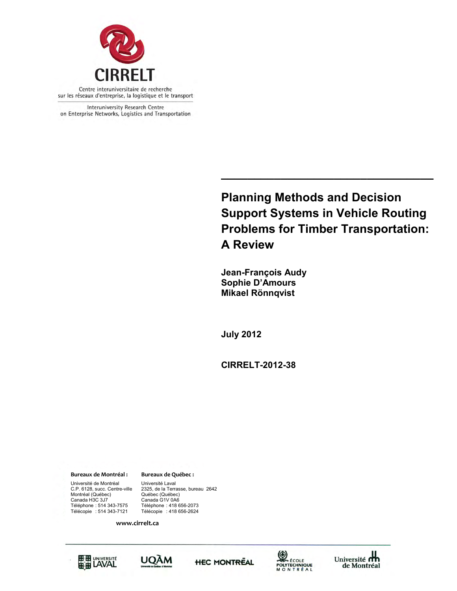

Interuniversity Research Centre on Enterprise Networks, Logistics and Transportation

> **Planning Methods and Decision Support Systems in Vehicle Routing Problems for Timber Transportation: A Review**

**\_\_\_\_\_\_\_\_\_\_\_\_\_\_\_\_\_\_\_\_\_\_\_\_\_\_\_\_\_\_\_\_**

**Jean-François Audy Sophie D'Amours Mikael Rönnqvist** 

**July 2012**

**CIRRELT-2012-38**

Canada H3C 3J7 Canada G1V 0A6 **Bureaux de Montréal : Bureaux de Québec :** Université de Montréal Université Laval<br>C.P. 6128, succ. Centre-ville 2325, de la Terra Montréal (Québec)<br>Canada H3C 3J7 Téléphone : 514 343-7575 Téléphone : 418 656-2073

2325, de la Terrasse, bureau 2642<br>Québec (Québec) Télécopie : 418 656-2624

**www.cirrelt.ca** 









Université **m** de Montréal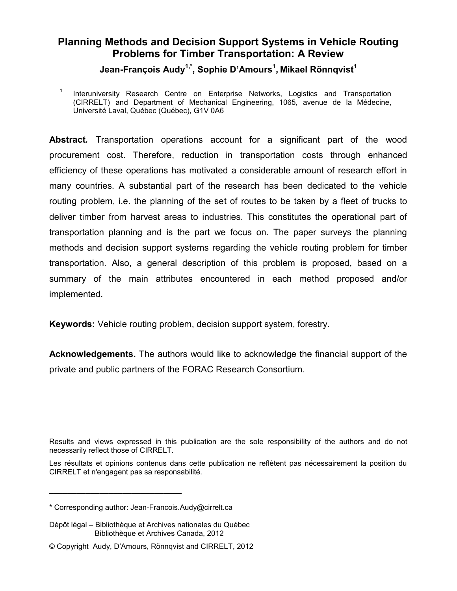# **Planning Methods and Decision Support Systems in Vehicle Routing Problems for Timber Transportation: A Review Jean-François Audy1,\* , Sophie D'Amours<sup>1</sup> , Mikael Rönnqvist<sup>1</sup>**

 Interuniversity Research Centre on Enterprise Networks, Logistics and Transportation (CIRRELT) and Department of Mechanical Engineering, 1065, avenue de la Médecine, Université Laval, Québec (Québec), G1V 0A6

**Abstract***.* Transportation operations account for a significant part of the wood procurement cost. Therefore, reduction in transportation costs through enhanced efficiency of these operations has motivated a considerable amount of research effort in many countries. A substantial part of the research has been dedicated to the vehicle routing problem, i.e. the planning of the set of routes to be taken by a fleet of trucks to deliver timber from harvest areas to industries. This constitutes the operational part of transportation planning and is the part we focus on. The paper surveys the planning methods and decision support systems regarding the vehicle routing problem for timber transportation. Also, a general description of this problem is proposed, based on a summary of the main attributes encountered in each method proposed and/or implemented.

**Keywords:** Vehicle routing problem, decision support system, forestry.

**Acknowledgements.** The authors would like to acknowledge the financial support of the private and public partners of the FORAC Research Consortium.

Results and views expressed in this publication are the sole responsibility of the authors and do not necessarily reflect those of CIRRELT.

Les résultats et opinions contenus dans cette publication ne reflètent pas nécessairement la position du CIRRELT et n'engagent pas sa responsabilité.

**\_\_\_\_\_\_\_\_\_\_\_\_\_\_\_\_\_\_\_\_\_\_\_\_\_\_\_\_\_**

1

Dépôt légal – Bibliothèque et Archives nationales du Québec Bibliothèque et Archives Canada, 2012

<sup>\*</sup> Corresponding author: Jean-Francois.Audy@cirrelt.ca

<sup>©</sup> Copyright Audy, D'Amours, Rönnqvist and CIRRELT, 2012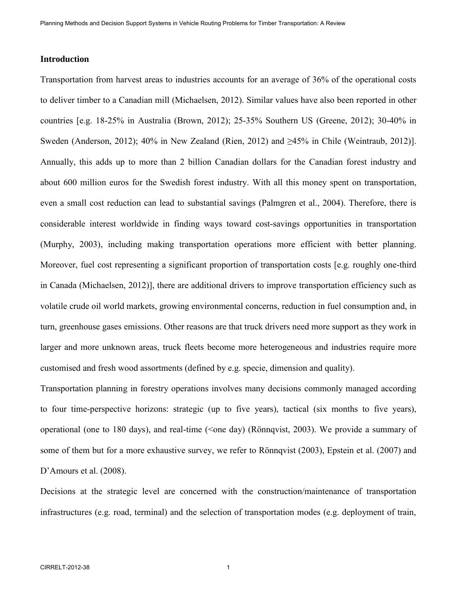# **Introduction**

Transportation from harvest areas to industries accounts for an average of 36% of the operational costs to deliver timber to a Canadian mill (Michaelsen, 2012). Similar values have also been reported in other countries [e.g. 18-25% in Australia (Brown, 2012); 25-35% Southern US (Greene, 2012); 30-40% in Sweden (Anderson, 2012); 40% in New Zealand (Rien, 2012) and ≥45% in Chile (Weintraub, 2012)]. Annually, this adds up to more than 2 billion Canadian dollars for the Canadian forest industry and about 600 million euros for the Swedish forest industry. With all this money spent on transportation, even a small cost reduction can lead to substantial savings (Palmgren et al., 2004). Therefore, there is considerable interest worldwide in finding ways toward cost-savings opportunities in transportation (Murphy, 2003), including making transportation operations more efficient with better planning. Moreover, fuel cost representing a significant proportion of transportation costs [e.g. roughly one-third in Canada (Michaelsen, 2012)], there are additional drivers to improve transportation efficiency such as volatile crude oil world markets, growing environmental concerns, reduction in fuel consumption and, in turn, greenhouse gases emissions. Other reasons are that truck drivers need more support as they work in larger and more unknown areas, truck fleets become more heterogeneous and industries require more customised and fresh wood assortments (defined by e.g. specie, dimension and quality).

Transportation planning in forestry operations involves many decisions commonly managed according to four time-perspective horizons: strategic (up to five years), tactical (six months to five years), operational (one to 180 days), and real-time (<one day) (Rönnqvist, 2003). We provide a summary of some of them but for a more exhaustive survey, we refer to Rönnqvist (2003), Epstein et al. (2007) and D'Amours et al. (2008).

Decisions at the strategic level are concerned with the construction/maintenance of transportation infrastructures (e.g. road, terminal) and the selection of transportation modes (e.g. deployment of train,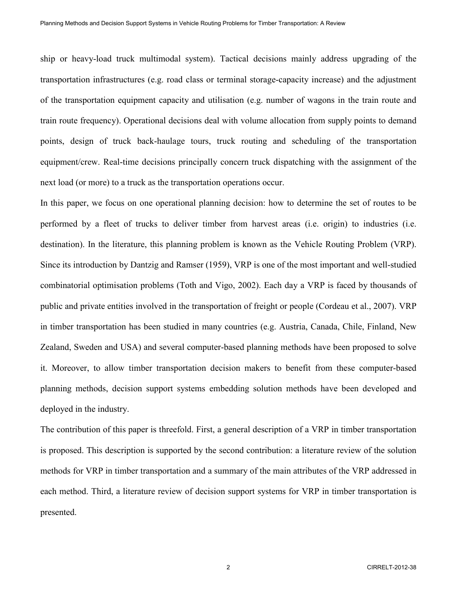ship or heavy-load truck multimodal system). Tactical decisions mainly address upgrading of the transportation infrastructures (e.g. road class or terminal storage-capacity increase) and the adjustment of the transportation equipment capacity and utilisation (e.g. number of wagons in the train route and train route frequency). Operational decisions deal with volume allocation from supply points to demand points, design of truck back-haulage tours, truck routing and scheduling of the transportation equipment/crew. Real-time decisions principally concern truck dispatching with the assignment of the next load (or more) to a truck as the transportation operations occur.

In this paper, we focus on one operational planning decision: how to determine the set of routes to be performed by a fleet of trucks to deliver timber from harvest areas (i.e. origin) to industries (i.e. destination). In the literature, this planning problem is known as the Vehicle Routing Problem (VRP). Since its introduction by Dantzig and Ramser (1959), VRP is one of the most important and well-studied combinatorial optimisation problems (Toth and Vigo, 2002). Each day a VRP is faced by thousands of public and private entities involved in the transportation of freight or people (Cordeau et al., 2007). VRP in timber transportation has been studied in many countries (e.g. Austria, Canada, Chile, Finland, New Zealand, Sweden and USA) and several computer-based planning methods have been proposed to solve it. Moreover, to allow timber transportation decision makers to benefit from these computer-based planning methods, decision support systems embedding solution methods have been developed and deployed in the industry.

The contribution of this paper is threefold. First, a general description of a VRP in timber transportation is proposed. This description is supported by the second contribution: a literature review of the solution methods for VRP in timber transportation and a summary of the main attributes of the VRP addressed in each method. Third, a literature review of decision support systems for VRP in timber transportation is presented.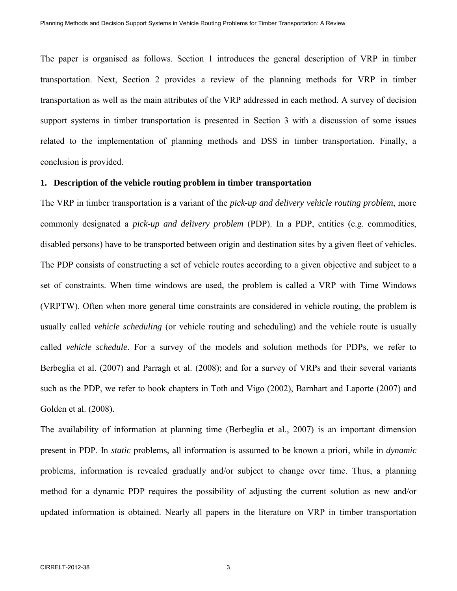The paper is organised as follows. Section [1](#page-4-0) introduces the general description of VRP in timber transportation. Next, Section [2](#page-9-0) provides a review of the planning methods for VRP in timber transportation as well as the main attributes of the VRP addressed in each method. A survey of decision support systems in timber transportation is presented in Section [3](#page-16-0) with a discussion of some issues related to the implementation of planning methods and DSS in timber transportation. Finally, a conclusion is provided.

#### <span id="page-4-0"></span>**1. Description of the vehicle routing problem in timber transportation**

The VRP in timber transportation is a variant of the *pick-up and delivery vehicle routing problem*, more commonly designated a *pick-up and delivery problem* (PDP). In a PDP, entities (e.g. commodities, disabled persons) have to be transported between origin and destination sites by a given fleet of vehicles. The PDP consists of constructing a set of vehicle routes according to a given objective and subject to a set of constraints. When time windows are used, the problem is called a VRP with Time Windows (VRPTW). Often when more general time constraints are considered in vehicle routing, the problem is usually called *vehicle scheduling* (or vehicle routing and scheduling) and the vehicle route is usually called *vehicle schedule*. For a survey of the models and solution methods for PDPs, we refer to Berbeglia et al. (2007) and Parragh et al. (2008); and for a survey of VRPs and their several variants such as the PDP, we refer to book chapters in Toth and Vigo (2002), Barnhart and Laporte (2007) and Golden et al. (2008).

The availability of information at planning time (Berbeglia et al., 2007) is an important dimension present in PDP. In *static* problems, all information is assumed to be known a priori, while in *dynamic* problems, information is revealed gradually and/or subject to change over time. Thus, a planning method for a dynamic PDP requires the possibility of adjusting the current solution as new and/or updated information is obtained. Nearly all papers in the literature on VRP in timber transportation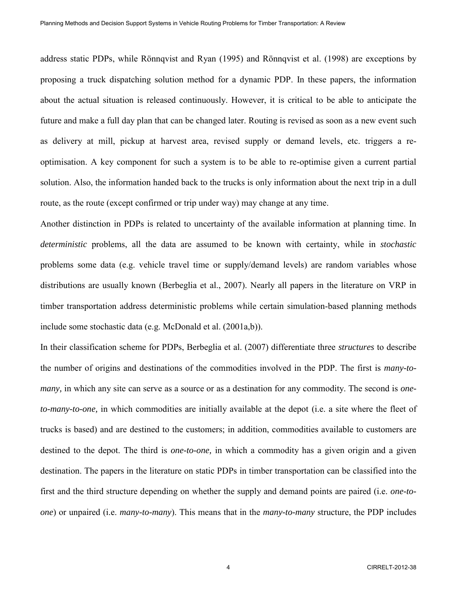address static PDPs, while Rönnqvist and Ryan (1995) and Rönnqvist et al. (1998) are exceptions by proposing a truck dispatching solution method for a dynamic PDP. In these papers, the information about the actual situation is released continuously. However, it is critical to be able to anticipate the future and make a full day plan that can be changed later. Routing is revised as soon as a new event such as delivery at mill, pickup at harvest area, revised supply or demand levels, etc. triggers a reoptimisation. A key component for such a system is to be able to re-optimise given a current partial solution. Also, the information handed back to the trucks is only information about the next trip in a dull route, as the route (except confirmed or trip under way) may change at any time.

Another distinction in PDPs is related to uncertainty of the available information at planning time. In *deterministic* problems, all the data are assumed to be known with certainty, while in *stochastic* problems some data (e.g. vehicle travel time or supply/demand levels) are random variables whose distributions are usually known (Berbeglia et al., 2007). Nearly all papers in the literature on VRP in timber transportation address deterministic problems while certain simulation-based planning methods include some stochastic data (e.g. McDonald et al. (2001a,b)).

In their classification scheme for PDPs, Berbeglia et al. (2007) differentiate three *structures* to describe the number of origins and destinations of the commodities involved in the PDP. The first is *many-tomany,* in which any site can serve as a source or as a destination for any commodity. The second is *oneto-many-to-one,* in which commodities are initially available at the depot (i.e. a site where the fleet of trucks is based) and are destined to the customers; in addition, commodities available to customers are destined to the depot. The third is *one-to-one,* in which a commodity has a given origin and a given destination. The papers in the literature on static PDPs in timber transportation can be classified into the first and the third structure depending on whether the supply and demand points are paired (i.e. *one-toone*) or unpaired (i.e. *many-to-many*). This means that in the *many-to-many* structure, the PDP includes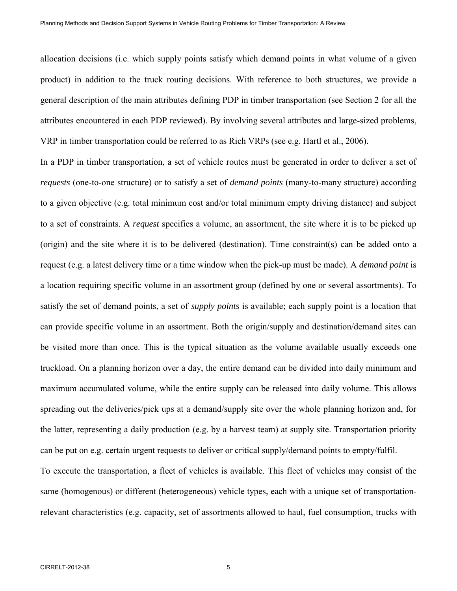allocation decisions (i.e. which supply points satisfy which demand points in what volume of a given product) in addition to the truck routing decisions. With reference to both structures, we provide a general description of the main attributes defining PDP in timber transportation (see Section [2](#page-9-0) for all the attributes encountered in each PDP reviewed). By involving several attributes and large-sized problems, VRP in timber transportation could be referred to as Rich VRPs (see e.g. Hartl et al., 2006).

In a PDP in timber transportation, a set of vehicle routes must be generated in order to deliver a set of *requests* (one-to-one structure) or to satisfy a set of *demand points* (many-to-many structure) according to a given objective (e.g. total minimum cost and/or total minimum empty driving distance) and subject to a set of constraints. A *request* specifies a volume, an assortment, the site where it is to be picked up (origin) and the site where it is to be delivered (destination). Time constraint(s) can be added onto a request (e.g. a latest delivery time or a time window when the pick-up must be made). A *demand point* is a location requiring specific volume in an assortment group (defined by one or several assortments). To satisfy the set of demand points, a set of *supply points* is available; each supply point is a location that can provide specific volume in an assortment. Both the origin/supply and destination/demand sites can be visited more than once. This is the typical situation as the volume available usually exceeds one truckload. On a planning horizon over a day, the entire demand can be divided into daily minimum and maximum accumulated volume, while the entire supply can be released into daily volume. This allows spreading out the deliveries/pick ups at a demand/supply site over the whole planning horizon and, for the latter, representing a daily production (e.g. by a harvest team) at supply site. Transportation priority can be put on e.g. certain urgent requests to deliver or critical supply/demand points to empty/fulfil.

To execute the transportation, a fleet of vehicles is available. This fleet of vehicles may consist of the same (homogenous) or different (heterogeneous) vehicle types, each with a unique set of transportationrelevant characteristics (e.g. capacity, set of assortments allowed to haul, fuel consumption, trucks with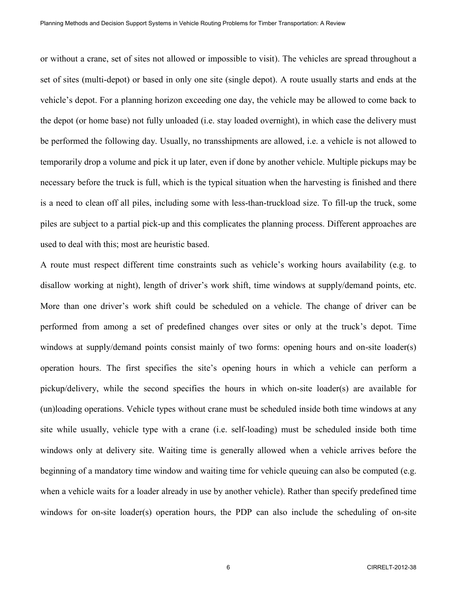or without a crane, set of sites not allowed or impossible to visit). The vehicles are spread throughout a set of sites (multi-depot) or based in only one site (single depot). A route usually starts and ends at the vehicle's depot. For a planning horizon exceeding one day, the vehicle may be allowed to come back to the depot (or home base) not fully unloaded (i.e. stay loaded overnight), in which case the delivery must be performed the following day. Usually, no transshipments are allowed, i.e. a vehicle is not allowed to temporarily drop a volume and pick it up later, even if done by another vehicle. Multiple pickups may be necessary before the truck is full, which is the typical situation when the harvesting is finished and there is a need to clean off all piles, including some with less-than-truckload size. To fill-up the truck, some piles are subject to a partial pick-up and this complicates the planning process. Different approaches are used to deal with this; most are heuristic based.

A route must respect different time constraints such as vehicle's working hours availability (e.g. to disallow working at night), length of driver's work shift, time windows at supply/demand points, etc. More than one driver's work shift could be scheduled on a vehicle. The change of driver can be performed from among a set of predefined changes over sites or only at the truck's depot. Time windows at supply/demand points consist mainly of two forms: opening hours and on-site loader(s) operation hours. The first specifies the site's opening hours in which a vehicle can perform a pickup/delivery, while the second specifies the hours in which on-site loader(s) are available for (un)loading operations. Vehicle types without crane must be scheduled inside both time windows at any site while usually, vehicle type with a crane (i.e. self-loading) must be scheduled inside both time windows only at delivery site. Waiting time is generally allowed when a vehicle arrives before the beginning of a mandatory time window and waiting time for vehicle queuing can also be computed (e.g. when a vehicle waits for a loader already in use by another vehicle). Rather than specify predefined time windows for on-site loader(s) operation hours, the PDP can also include the scheduling of on-site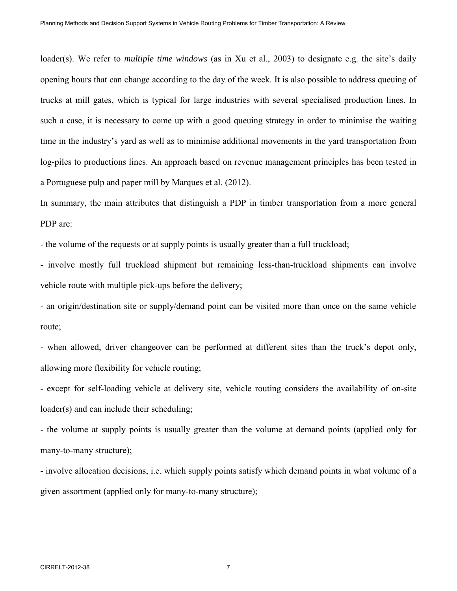loader(s). We refer to *multiple time windows* (as in Xu et al., 2003) to designate e.g. the site's daily opening hours that can change according to the day of the week. It is also possible to address queuing of trucks at mill gates, which is typical for large industries with several specialised production lines. In such a case, it is necessary to come up with a good queuing strategy in order to minimise the waiting time in the industry's yard as well as to minimise additional movements in the yard transportation from log-piles to productions lines. An approach based on revenue management principles has been tested in a Portuguese pulp and paper mill by Marques et al. (2012).

In summary, the main attributes that distinguish a PDP in timber transportation from a more general PDP are:

- the volume of the requests or at supply points is usually greater than a full truckload;

- involve mostly full truckload shipment but remaining less-than-truckload shipments can involve vehicle route with multiple pick-ups before the delivery;

- an origin/destination site or supply/demand point can be visited more than once on the same vehicle route;

- when allowed, driver changeover can be performed at different sites than the truck's depot only, allowing more flexibility for vehicle routing;

- except for self-loading vehicle at delivery site, vehicle routing considers the availability of on-site loader(s) and can include their scheduling;

- the volume at supply points is usually greater than the volume at demand points (applied only for many-to-many structure);

- involve allocation decisions, i.e. which supply points satisfy which demand points in what volume of a given assortment (applied only for many-to-many structure);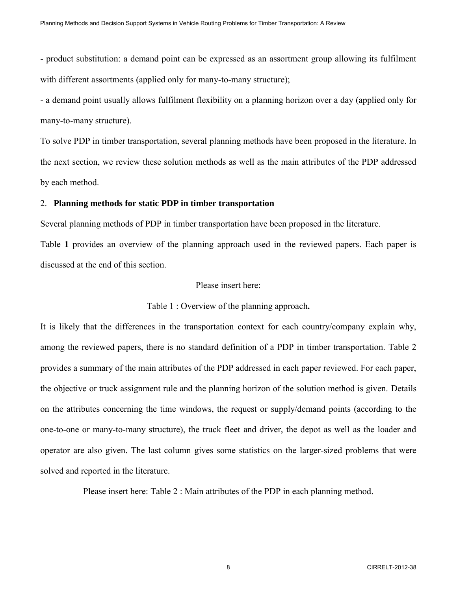- product substitution: a demand point can be expressed as an assortment group allowing its fulfilment with different assortments (applied only for many-to-many structure);

- a demand point usually allows fulfilment flexibility on a planning horizon over a day (applied only for many-to-many structure).

To solve PDP in timber transportation, several planning methods have been proposed in the literature. In the next section, we review these solution methods as well as the main attributes of the PDP addressed by each method.

#### <span id="page-9-0"></span>2. **Planning methods for static PDP in timber transportation**

Several planning methods of PDP in timber transportation have been proposed in the literature.

[Table](#page-35-0) **1** provides an overview of the planning approach used in the reviewed papers. Each paper is discussed at the end of this section.

### Please insert here:

# Table 1 : [Overview of the planning approach](#page-35-0)**.**

It is likely that the differences in the transportation context for each country/company explain why, among the reviewed papers, there is no standard definition of a PDP in timber transportation. [Table 2](#page-43-0) provides a summary of the main attributes of the PDP addressed in each paper reviewed. For each paper, the objective or truck assignment rule and the planning horizon of the solution method is given. Details on the attributes concerning the time windows, the request or supply/demand points (according to the one-to-one or many-to-many structure), the truck fleet and driver, the depot as well as the loader and operator are also given. The last column gives some statistics on the larger-sized problems that were solved and reported in the literature.

Please insert here: Table 2 [: Main attributes of the PDP in each planning method.](#page-43-0)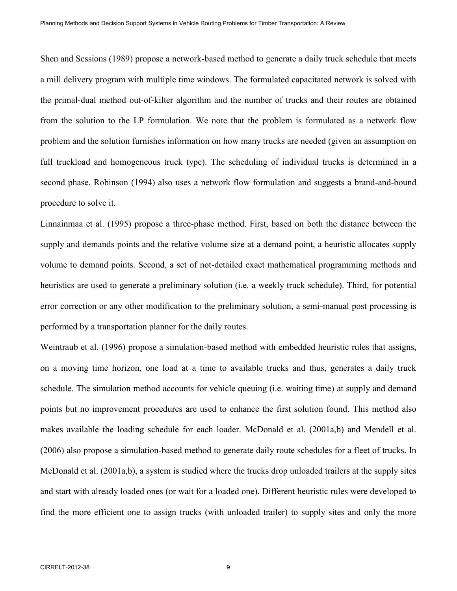Shen and Sessions (1989) propose a network-based method to generate a daily truck schedule that meets a mill delivery program with multiple time windows. The formulated capacitated network is solved with the primal-dual method out-of-kilter algorithm and the number of trucks and their routes are obtained from the solution to the LP formulation. We note that the problem is formulated as a network flow problem and the solution furnishes information on how many trucks are needed (given an assumption on full truckload and homogeneous truck type). The scheduling of individual trucks is determined in a second phase. Robinson (1994) also uses a network flow formulation and suggests a brand-and-bound procedure to solve it.

Linnainmaa et al. (1995) propose a three-phase method. First, based on both the distance between the supply and demands points and the relative volume size at a demand point, a heuristic allocates supply volume to demand points. Second, a set of not-detailed exact mathematical programming methods and heuristics are used to generate a preliminary solution (i.e. a weekly truck schedule). Third, for potential error correction or any other modification to the preliminary solution, a semi-manual post processing is performed by a transportation planner for the daily routes.

Weintraub et al. (1996) propose a simulation-based method with embedded heuristic rules that assigns, on a moving time horizon, one load at a time to available trucks and thus, generates a daily truck schedule. The simulation method accounts for vehicle queuing (i.e. waiting time) at supply and demand points but no improvement procedures are used to enhance the first solution found. This method also makes available the loading schedule for each loader. McDonald et al. (2001a,b) and Mendell et al. (2006) also propose a simulation-based method to generate daily route schedules for a fleet of trucks. In McDonald et al. (2001a,b), a system is studied where the trucks drop unloaded trailers at the supply sites and start with already loaded ones (or wait for a loaded one). Different heuristic rules were developed to find the more efficient one to assign trucks (with unloaded trailer) to supply sites and only the more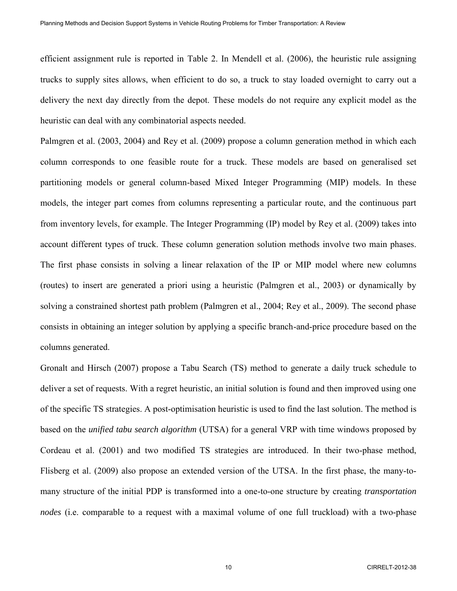efficient assignment rule is reported in [Table 2.](#page-43-0) In Mendell et al. (2006), the heuristic rule assigning trucks to supply sites allows, when efficient to do so, a truck to stay loaded overnight to carry out a delivery the next day directly from the depot. These models do not require any explicit model as the heuristic can deal with any combinatorial aspects needed.

Palmgren et al. (2003, 2004) and Rey et al. (2009) propose a column generation method in which each column corresponds to one feasible route for a truck. These models are based on generalised set partitioning models or general column-based Mixed Integer Programming (MIP) models. In these models, the integer part comes from columns representing a particular route, and the continuous part from inventory levels, for example. The Integer Programming (IP) model by Rey et al. (2009) takes into account different types of truck. These column generation solution methods involve two main phases. The first phase consists in solving a linear relaxation of the IP or MIP model where new columns (routes) to insert are generated a priori using a heuristic (Palmgren et al., 2003) or dynamically by solving a constrained shortest path problem (Palmgren et al., 2004; Rey et al., 2009). The second phase consists in obtaining an integer solution by applying a specific branch-and-price procedure based on the columns generated.

Gronalt and Hirsch (2007) propose a Tabu Search (TS) method to generate a daily truck schedule to deliver a set of requests. With a regret heuristic, an initial solution is found and then improved using one of the specific TS strategies. A post-optimisation heuristic is used to find the last solution. The method is based on the *unified tabu search algorithm* (UTSA) for a general VRP with time windows proposed by Cordeau et al. (2001) and two modified TS strategies are introduced. In their two-phase method, Flisberg et al. (2009) also propose an extended version of the UTSA. In the first phase, the many-tomany structure of the initial PDP is transformed into a one-to-one structure by creating *transportation nodes* (i.e. comparable to a request with a maximal volume of one full truckload) with a two-phase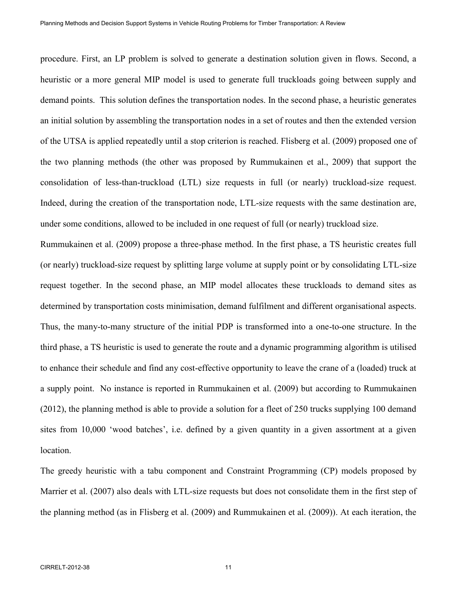procedure. First, an LP problem is solved to generate a destination solution given in flows. Second, a heuristic or a more general MIP model is used to generate full truckloads going between supply and demand points. This solution defines the transportation nodes. In the second phase, a heuristic generates an initial solution by assembling the transportation nodes in a set of routes and then the extended version of the UTSA is applied repeatedly until a stop criterion is reached. Flisberg et al. (2009) proposed one of the two planning methods (the other was proposed by Rummukainen et al., 2009) that support the consolidation of less-than-truckload (LTL) size requests in full (or nearly) truckload-size request. Indeed, during the creation of the transportation node, LTL-size requests with the same destination are, under some conditions, allowed to be included in one request of full (or nearly) truckload size.

Rummukainen et al. (2009) propose a three-phase method. In the first phase, a TS heuristic creates full (or nearly) truckload-size request by splitting large volume at supply point or by consolidating LTL-size request together. In the second phase, an MIP model allocates these truckloads to demand sites as determined by transportation costs minimisation, demand fulfilment and different organisational aspects. Thus, the many-to-many structure of the initial PDP is transformed into a one-to-one structure. In the third phase, a TS heuristic is used to generate the route and a dynamic programming algorithm is utilised to enhance their schedule and find any cost-effective opportunity to leave the crane of a (loaded) truck at a supply point. No instance is reported in Rummukainen et al. (2009) but according to Rummukainen (2012), the planning method is able to provide a solution for a fleet of 250 trucks supplying 100 demand sites from 10,000 'wood batches', i.e. defined by a given quantity in a given assortment at a given location.

The greedy heuristic with a tabu component and Constraint Programming (CP) models proposed by Marrier et al. (2007) also deals with LTL-size requests but does not consolidate them in the first step of the planning method (as in Flisberg et al. (2009) and Rummukainen et al. (2009)). At each iteration, the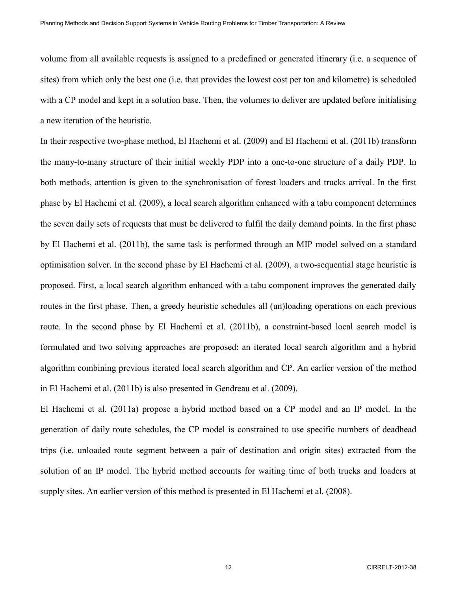volume from all available requests is assigned to a predefined or generated itinerary (i.e. a sequence of sites) from which only the best one (i.e. that provides the lowest cost per ton and kilometre) is scheduled with a CP model and kept in a solution base. Then, the volumes to deliver are updated before initialising a new iteration of the heuristic.

In their respective two-phase method, El Hachemi et al. (2009) and El Hachemi et al. (2011b) transform the many-to-many structure of their initial weekly PDP into a one-to-one structure of a daily PDP. In both methods, attention is given to the synchronisation of forest loaders and trucks arrival. In the first phase by El Hachemi et al. (2009), a local search algorithm enhanced with a tabu component determines the seven daily sets of requests that must be delivered to fulfil the daily demand points. In the first phase by El Hachemi et al. (2011b), the same task is performed through an MIP model solved on a standard optimisation solver. In the second phase by El Hachemi et al. (2009), a two-sequential stage heuristic is proposed. First, a local search algorithm enhanced with a tabu component improves the generated daily routes in the first phase. Then, a greedy heuristic schedules all (un)loading operations on each previous route. In the second phase by El Hachemi et al. (2011b), a constraint-based local search model is formulated and two solving approaches are proposed: an iterated local search algorithm and a hybrid algorithm combining previous iterated local search algorithm and CP. An earlier version of the method in El Hachemi et al. (2011b) is also presented in Gendreau et al. (2009).

El Hachemi et al. (2011a) propose a hybrid method based on a CP model and an IP model. In the generation of daily route schedules, the CP model is constrained to use specific numbers of deadhead trips (i.e. unloaded route segment between a pair of destination and origin sites) extracted from the solution of an IP model. The hybrid method accounts for waiting time of both trucks and loaders at supply sites. An earlier version of this method is presented in El Hachemi et al. (2008).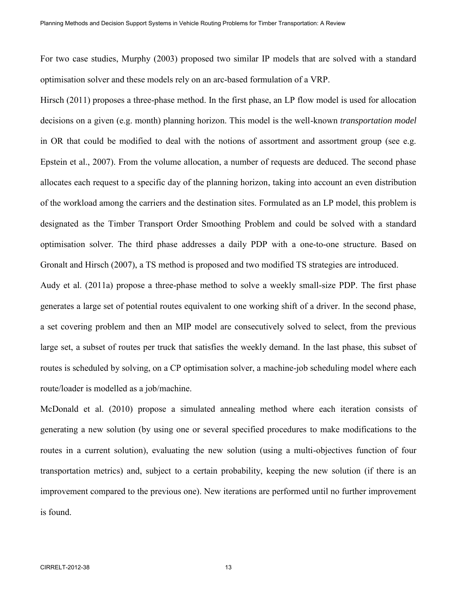For two case studies, Murphy (2003) proposed two similar IP models that are solved with a standard optimisation solver and these models rely on an arc-based formulation of a VRP.

Hirsch (2011) proposes a three-phase method. In the first phase, an LP flow model is used for allocation decisions on a given (e.g. month) planning horizon. This model is the well-known *transportation model* in OR that could be modified to deal with the notions of assortment and assortment group (see e.g. Epstein et al., 2007). From the volume allocation, a number of requests are deduced. The second phase allocates each request to a specific day of the planning horizon, taking into account an even distribution of the workload among the carriers and the destination sites. Formulated as an LP model, this problem is designated as the Timber Transport Order Smoothing Problem and could be solved with a standard optimisation solver. The third phase addresses a daily PDP with a one-to-one structure. Based on Gronalt and Hirsch (2007), a TS method is proposed and two modified TS strategies are introduced.

Audy et al. (2011a) propose a three-phase method to solve a weekly small-size PDP. The first phase generates a large set of potential routes equivalent to one working shift of a driver. In the second phase, a set covering problem and then an MIP model are consecutively solved to select, from the previous large set, a subset of routes per truck that satisfies the weekly demand. In the last phase, this subset of routes is scheduled by solving, on a CP optimisation solver, a machine-job scheduling model where each route/loader is modelled as a job/machine.

McDonald et al. (2010) propose a simulated annealing method where each iteration consists of generating a new solution (by using one or several specified procedures to make modifications to the routes in a current solution), evaluating the new solution (using a multi-objectives function of four transportation metrics) and, subject to a certain probability, keeping the new solution (if there is an improvement compared to the previous one). New iterations are performed until no further improvement is found.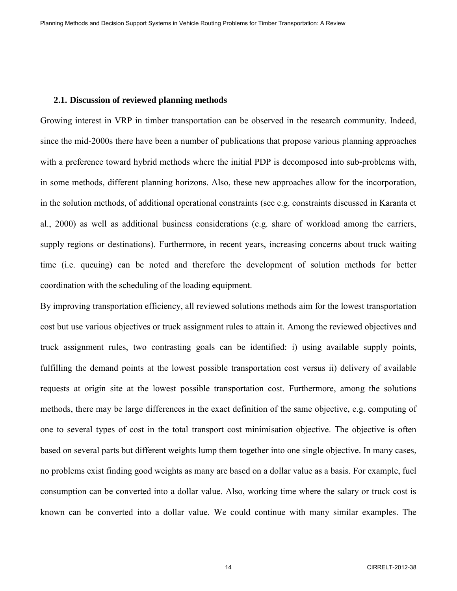#### **2.1. Discussion of reviewed planning methods**

Growing interest in VRP in timber transportation can be observed in the research community. Indeed, since the mid-2000s there have been a number of publications that propose various planning approaches with a preference toward hybrid methods where the initial PDP is decomposed into sub-problems with, in some methods, different planning horizons. Also, these new approaches allow for the incorporation, in the solution methods, of additional operational constraints (see e.g. constraints discussed in Karanta et al., 2000) as well as additional business considerations (e.g. share of workload among the carriers, supply regions or destinations). Furthermore, in recent years, increasing concerns about truck waiting time (i.e. queuing) can be noted and therefore the development of solution methods for better coordination with the scheduling of the loading equipment.

By improving transportation efficiency, all reviewed solutions methods aim for the lowest transportation cost but use various objectives or truck assignment rules to attain it. Among the reviewed objectives and truck assignment rules, two contrasting goals can be identified: i) using available supply points, fulfilling the demand points at the lowest possible transportation cost versus ii) delivery of available requests at origin site at the lowest possible transportation cost. Furthermore, among the solutions methods, there may be large differences in the exact definition of the same objective, e.g. computing of one to several types of cost in the total transport cost minimisation objective. The objective is often based on several parts but different weights lump them together into one single objective. In many cases, no problems exist finding good weights as many are based on a dollar value as a basis. For example, fuel consumption can be converted into a dollar value. Also, working time where the salary or truck cost is known can be converted into a dollar value. We could continue with many similar examples. The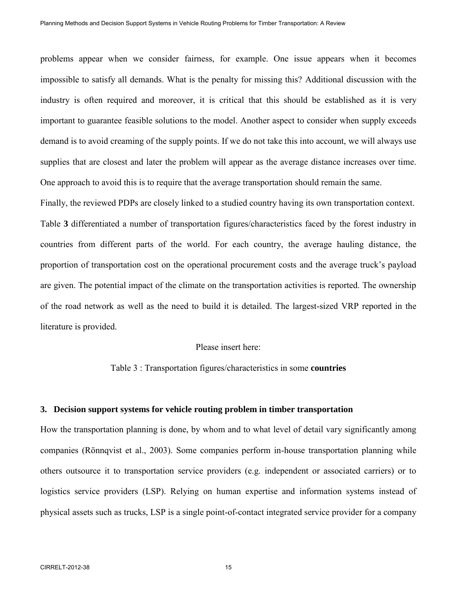problems appear when we consider fairness, for example. One issue appears when it becomes impossible to satisfy all demands. What is the penalty for missing this? Additional discussion with the industry is often required and moreover, it is critical that this should be established as it is very important to guarantee feasible solutions to the model. Another aspect to consider when supply exceeds demand is to avoid creaming of the supply points. If we do not take this into account, we will always use supplies that are closest and later the problem will appear as the average distance increases over time. One approach to avoid this is to require that the average transportation should remain the same.

Finally, the reviewed PDPs are closely linked to a studied country having its own transportation context. [Table](#page-45-0) **3** differentiated a number of transportation figures/characteristics faced by the forest industry in countries from different parts of the world. For each country, the average hauling distance, the proportion of transportation cost on the operational procurement costs and the average truck's payload are given. The potential impact of the climate on the transportation activities is reported. The ownership of the road network as well as the need to build it is detailed. The largest-sized VRP reported in the literature is provided.

#### Please insert here:

[Table 3 : Transportation figures/characteristics in some](#page-45-0) **countries**

#### <span id="page-16-0"></span>**3. Decision support systems for vehicle routing problem in timber transportation**

How the transportation planning is done, by whom and to what level of detail vary significantly among companies (Rönnqvist et al., 2003). Some companies perform in-house transportation planning while others outsource it to transportation service providers (e.g. independent or associated carriers) or to logistics service providers (LSP). Relying on human expertise and information systems instead of physical assets such as trucks, LSP is a single point-of-contact integrated service provider for a company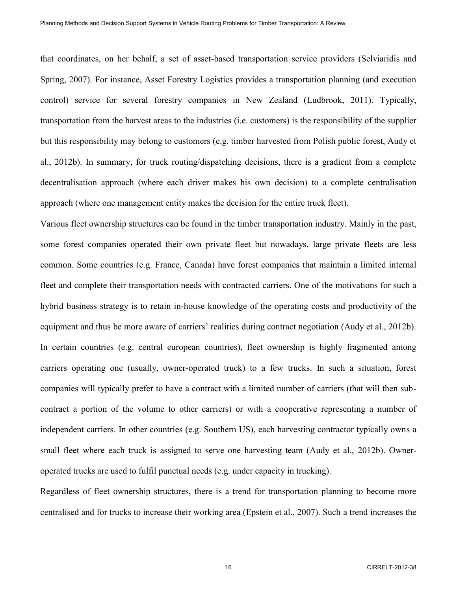that coordinates, on her behalf, a set of asset-based transportation service providers (Selviaridis and Spring, 2007). For instance, Asset Forestry Logistics provides a transportation planning (and execution control) service for several forestry companies in New Zealand (Ludbrook, 2011). Typically, transportation from the harvest areas to the industries (i.e. customers) is the responsibility of the supplier but this responsibility may belong to customers (e.g. timber harvested from Polish public forest, Audy et al., 2012b). In summary, for truck routing/dispatching decisions, there is a gradient from a complete decentralisation approach (where each driver makes his own decision) to a complete centralisation approach (where one management entity makes the decision for the entire truck fleet).

Various fleet ownership structures can be found in the timber transportation industry. Mainly in the past, some forest companies operated their own private fleet but nowadays, large private fleets are less common. Some countries (e.g. France, Canada) have forest companies that maintain a limited internal fleet and complete their transportation needs with contracted carriers. One of the motivations for such a hybrid business strategy is to retain in-house knowledge of the operating costs and productivity of the equipment and thus be more aware of carriers' realities during contract negotiation (Audy et al., 2012b). In certain countries (e.g. central european countries), fleet ownership is highly fragmented among carriers operating one (usually, owner-operated truck) to a few trucks. In such a situation, forest companies will typically prefer to have a contract with a limited number of carriers (that will then subcontract a portion of the volume to other carriers) or with a cooperative representing a number of independent carriers. In other countries (e.g. Southern US), each harvesting contractor typically owns a small fleet where each truck is assigned to serve one harvesting team (Audy et al., 2012b). Owneroperated trucks are used to fulfil punctual needs (e.g. under capacity in trucking).

Regardless of fleet ownership structures, there is a trend for transportation planning to become more centralised and for trucks to increase their working area (Epstein et al., 2007). Such a trend increases the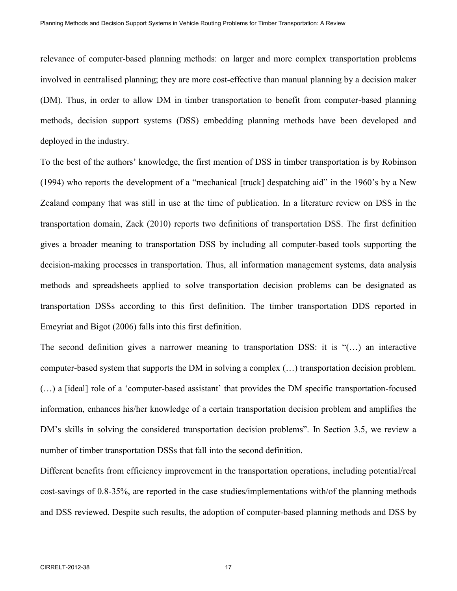relevance of computer-based planning methods: on larger and more complex transportation problems involved in centralised planning; they are more cost-effective than manual planning by a decision maker (DM). Thus, in order to allow DM in timber transportation to benefit from computer-based planning methods, decision support systems (DSS) embedding planning methods have been developed and deployed in the industry.

To the best of the authors' knowledge, the first mention of DSS in timber transportation is by Robinson (1994) who reports the development of a "mechanical [truck] despatching aid" in the 1960's by a New Zealand company that was still in use at the time of publication. In a literature review on DSS in the transportation domain, Zack (2010) reports two definitions of transportation DSS. The first definition gives a broader meaning to transportation DSS by including all computer-based tools supporting the decision-making processes in transportation. Thus, all information management systems, data analysis methods and spreadsheets applied to solve transportation decision problems can be designated as transportation DSSs according to this first definition. The timber transportation DDS reported in Emeyriat and Bigot (2006) falls into this first definition.

The second definition gives a narrower meaning to transportation DSS: it is "(…) an interactive computer-based system that supports the DM in solving a complex (…) transportation decision problem. (…) a [ideal] role of a 'computer-based assistant' that provides the DM specific transportation-focused information, enhances his/her knowledge of a certain transportation decision problem and amplifies the DM's skills in solving the considered transportation decision problems". In Section [3.5,](#page-22-0) we review a number of timber transportation DSSs that fall into the second definition.

Different benefits from efficiency improvement in the transportation operations, including potential/real cost-savings of 0.8-35%, are reported in the case studies/implementations with/of the planning methods and DSS reviewed. Despite such results, the adoption of computer-based planning methods and DSS by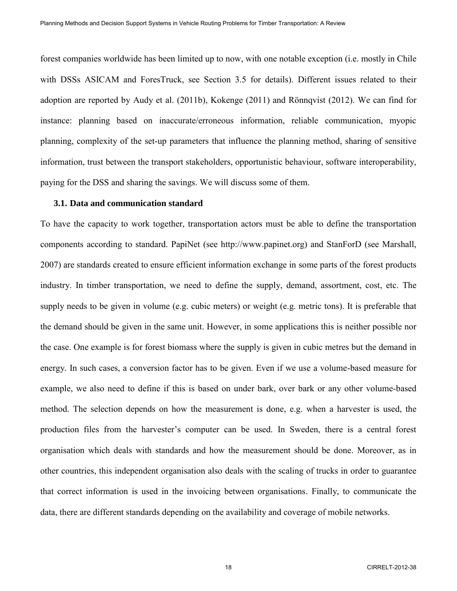forest companies worldwide has been limited up to now, with one notable exception (i.e. mostly in Chile with DSSs ASICAM and ForesTruck, see Section [3.5](#page-22-0) for details). Different issues related to their adoption are reported by Audy et al. (2011b), Kokenge (2011) and Rönnqvist (2012). We can find for instance: planning based on inaccurate/erroneous information, reliable communication, myopic planning, complexity of the set-up parameters that influence the planning method, sharing of sensitive information, trust between the transport stakeholders, opportunistic behaviour, software interoperability, paying for the DSS and sharing the savings. We will discuss some of them.

#### **3.1. Data and communication standard**

To have the capacity to work together, transportation actors must be able to define the transportation components according to standard. PapiNet (see http://www.papinet.org) and StanForD (see Marshall, 2007) are standards created to ensure efficient information exchange in some parts of the forest products industry. In timber transportation, we need to define the supply, demand, assortment, cost, etc. The supply needs to be given in volume (e.g. cubic meters) or weight (e.g. metric tons). It is preferable that the demand should be given in the same unit. However, in some applications this is neither possible nor the case. One example is for forest biomass where the supply is given in cubic metres but the demand in energy. In such cases, a conversion factor has to be given. Even if we use a volume-based measure for example, we also need to define if this is based on under bark, over bark or any other volume-based method. The selection depends on how the measurement is done, e.g. when a harvester is used, the production files from the harvester's computer can be used. In Sweden, there is a central forest organisation which deals with standards and how the measurement should be done. Moreover, as in other countries, this independent organisation also deals with the scaling of trucks in order to guarantee that correct information is used in the invoicing between organisations. Finally, to communicate the data, there are different standards depending on the availability and coverage of mobile networks.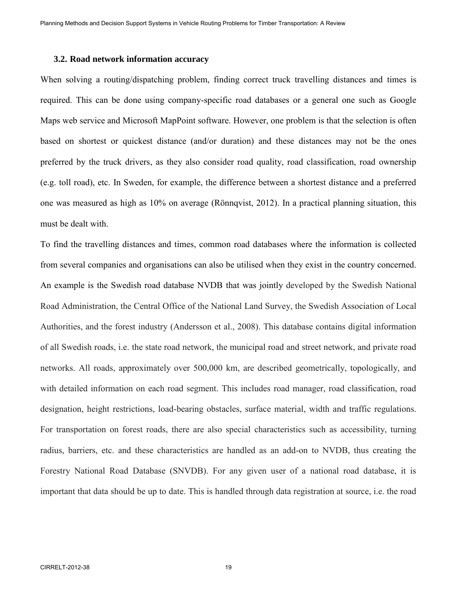#### **3.2. Road network information accuracy**

When solving a routing/dispatching problem, finding correct truck travelling distances and times is required. This can be done using company-specific road databases or a general one such as Google Maps web service and Microsoft MapPoint software. However, one problem is that the selection is often based on shortest or quickest distance (and/or duration) and these distances may not be the ones preferred by the truck drivers, as they also consider road quality, road classification, road ownership (e.g. toll road), etc. In Sweden, for example, the difference between a shortest distance and a preferred one was measured as high as 10% on average (Rönnqvist, 2012). In a practical planning situation, this must be dealt with.

To find the travelling distances and times, common road databases where the information is collected from several companies and organisations can also be utilised when they exist in the country concerned. An example is the Swedish road database NVDB that was jointly developed by the Swedish National Road Administration, the Central Office of the National Land Survey, the Swedish Association of Local Authorities, and the forest industry (Andersson et al., 2008). This database contains digital information of all Swedish roads, i.e. the state road network, the municipal road and street network, and private road networks. All roads, approximately over 500,000 km, are described geometrically, topologically, and with detailed information on each road segment. This includes road manager, road classification, road designation, height restrictions, load-bearing obstacles, surface material, width and traffic regulations. For transportation on forest roads, there are also special characteristics such as accessibility, turning radius, barriers, etc. and these characteristics are handled as an add-on to NVDB, thus creating the Forestry National Road Database (SNVDB). For any given user of a national road database, it is important that data should be up to date. This is handled through data registration at source, i.e. the road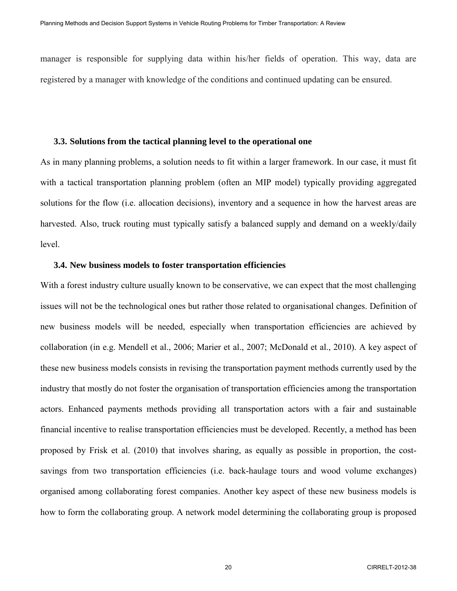manager is responsible for supplying data within his/her fields of operation. This way, data are registered by a manager with knowledge of the conditions and continued updating can be ensured.

#### **3.3. Solutions from the tactical planning level to the operational one**

As in many planning problems, a solution needs to fit within a larger framework. In our case, it must fit with a tactical transportation planning problem (often an MIP model) typically providing aggregated solutions for the flow (i.e. allocation decisions), inventory and a sequence in how the harvest areas are harvested. Also, truck routing must typically satisfy a balanced supply and demand on a weekly/daily level.

#### **3.4. New business models to foster transportation efficiencies**

With a forest industry culture usually known to be conservative, we can expect that the most challenging issues will not be the technological ones but rather those related to organisational changes. Definition of new business models will be needed, especially when transportation efficiencies are achieved by collaboration (in e.g. Mendell et al., 2006; Marier et al., 2007; McDonald et al., 2010). A key aspect of these new business models consists in revising the transportation payment methods currently used by the industry that mostly do not foster the organisation of transportation efficiencies among the transportation actors. Enhanced payments methods providing all transportation actors with a fair and sustainable financial incentive to realise transportation efficiencies must be developed. Recently, a method has been proposed by Frisk et al. (2010) that involves sharing, as equally as possible in proportion, the costsavings from two transportation efficiencies (i.e. back-haulage tours and wood volume exchanges) organised among collaborating forest companies. Another key aspect of these new business models is how to form the collaborating group. A network model determining the collaborating group is proposed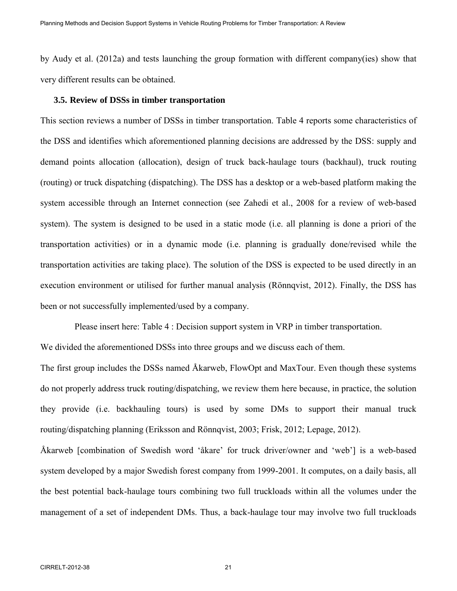by Audy et al. (2012a) and tests launching the group formation with different company(ies) show that very different results can be obtained.

#### <span id="page-22-0"></span>**3.5. Review of DSSs in timber transportation**

This section reviews a number of DSSs in timber transportation. [Table 4](#page-46-0) reports some characteristics of the DSS and identifies which aforementioned planning decisions are addressed by the DSS: supply and demand points allocation (allocation), design of truck back-haulage tours (backhaul), truck routing (routing) or truck dispatching (dispatching). The DSS has a desktop or a web-based platform making the system accessible through an Internet connection (see Zahedi et al., 2008 for a review of web-based system). The system is designed to be used in a static mode (i.e. all planning is done a priori of the transportation activities) or in a dynamic mode (i.e. planning is gradually done/revised while the transportation activities are taking place). The solution of the DSS is expected to be used directly in an execution environment or utilised for further manual analysis (Rönnqvist, 2012). Finally, the DSS has been or not successfully implemented/used by a company.

Please insert here: Table 4 [: Decision support system in VRP in timber transportation.](#page-46-0)

We divided the aforementioned DSSs into three groups and we discuss each of them.

The first group includes the DSSs named Åkarweb, FlowOpt and MaxTour. Even though these systems do not properly address truck routing/dispatching, we review them here because, in practice, the solution they provide (i.e. backhauling tours) is used by some DMs to support their manual truck routing/dispatching planning (Eriksson and Rönnqvist, 2003; Frisk, 2012; Lepage, 2012).

Åkarweb [combination of Swedish word 'åkare' for truck driver/owner and 'web'] is a web-based system developed by a major Swedish forest company from 1999-2001. It computes, on a daily basis, all the best potential back-haulage tours combining two full truckloads within all the volumes under the management of a set of independent DMs. Thus, a back-haulage tour may involve two full truckloads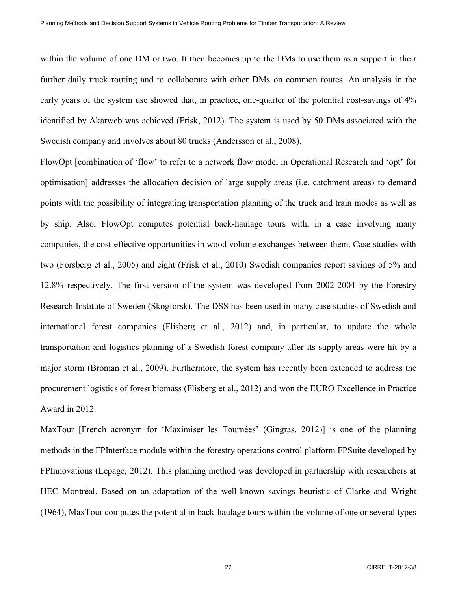within the volume of one DM or two. It then becomes up to the DMs to use them as a support in their further daily truck routing and to collaborate with other DMs on common routes. An analysis in the early years of the system use showed that, in practice, one-quarter of the potential cost-savings of 4% identified by Åkarweb was achieved (Frisk, 2012). The system is used by 50 DMs associated with the Swedish company and involves about 80 trucks (Andersson et al., 2008).

FlowOpt [combination of 'flow' to refer to a network flow model in Operational Research and 'opt' for optimisation] addresses the allocation decision of large supply areas (i.e. catchment areas) to demand points with the possibility of integrating transportation planning of the truck and train modes as well as by ship. Also, FlowOpt computes potential back-haulage tours with, in a case involving many companies, the cost-effective opportunities in wood volume exchanges between them. Case studies with two (Forsberg et al., 2005) and eight (Frisk et al., 2010) Swedish companies report savings of 5% and 12.8% respectively. The first version of the system was developed from 2002-2004 by the Forestry Research Institute of Sweden (Skogforsk). The DSS has been used in many case studies of Swedish and international forest companies (Flisberg et al., 2012) and, in particular, to update the whole transportation and logistics planning of a Swedish forest company after its supply areas were hit by a major storm (Broman et al., 2009). Furthermore, the system has recently been extended to address the procurement logistics of forest biomass (Flisberg et al., 2012) and won the EURO Excellence in Practice Award in 2012.

MaxTour [French acronym for 'Maximiser les Tournées' (Gingras, 2012)] is one of the planning methods in the FPInterface module within the forestry operations control platform FPSuite developed by FPInnovations (Lepage, 2012). This planning method was developed in partnership with researchers at HEC Montréal. Based on an adaptation of the well-known savings heuristic of Clarke and Wright (1964), MaxTour computes the potential in back-haulage tours within the volume of one or several types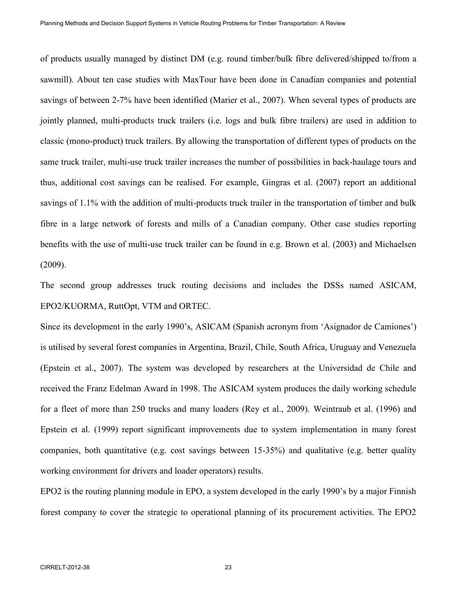of products usually managed by distinct DM (e.g. round timber/bulk fibre delivered/shipped to/from a sawmill). About ten case studies with MaxTour have been done in Canadian companies and potential savings of between 2-7% have been identified (Marier et al., 2007). When several types of products are jointly planned, multi-products truck trailers (i.e. logs and bulk fibre trailers) are used in addition to classic (mono-product) truck trailers. By allowing the transportation of different types of products on the same truck trailer, multi-use truck trailer increases the number of possibilities in back-haulage tours and thus, additional cost savings can be realised. For example, Gingras et al. (2007) report an additional savings of 1.1% with the addition of multi-products truck trailer in the transportation of timber and bulk fibre in a large network of forests and mills of a Canadian company. Other case studies reporting benefits with the use of multi-use truck trailer can be found in e.g. Brown et al. (2003) and Michaelsen (2009).

The second group addresses truck routing decisions and includes the DSSs named ASICAM, EPO2/KUORMA, RuttOpt, VTM and ORTEC.

Since its development in the early 1990's, ASICAM (Spanish acronym from 'Asignador de Camiones') is utilised by several forest companies in Argentina, Brazil, Chile, South Africa, Uruguay and Venezuela (Epstein et al., 2007). The system was developed by researchers at the Universidad de Chile and received the Franz Edelman Award in 1998. The ASICAM system produces the daily working schedule for a fleet of more than 250 trucks and many loaders (Rey et al., 2009). Weintraub et al. (1996) and Epstein et al. (1999) report significant improvements due to system implementation in many forest companies, both quantitative (e.g. cost savings between 15-35%) and qualitative (e.g. better quality working environment for drivers and loader operators) results.

EPO2 is the routing planning module in EPO, a system developed in the early 1990's by a major Finnish forest company to cover the strategic to operational planning of its procurement activities. The EPO2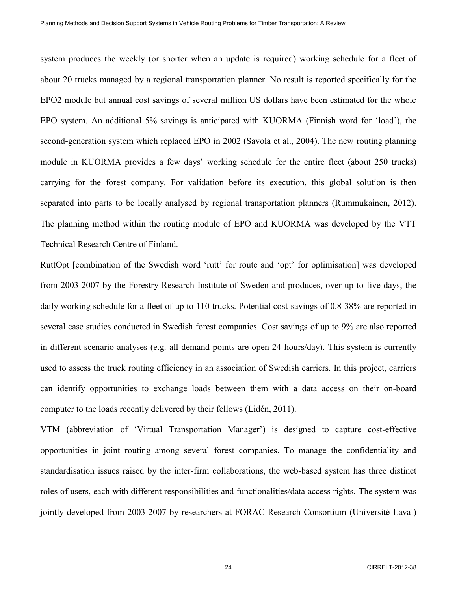system produces the weekly (or shorter when an update is required) working schedule for a fleet of about 20 trucks managed by a regional transportation planner. No result is reported specifically for the EPO2 module but annual cost savings of several million US dollars have been estimated for the whole EPO system. An additional 5% savings is anticipated with KUORMA (Finnish word for 'load'), the second-generation system which replaced EPO in 2002 (Savola et al., 2004). The new routing planning module in KUORMA provides a few days' working schedule for the entire fleet (about 250 trucks) carrying for the forest company. For validation before its execution, this global solution is then separated into parts to be locally analysed by regional transportation planners (Rummukainen, 2012). The planning method within the routing module of EPO and KUORMA was developed by the VTT Technical Research Centre of Finland.

RuttOpt [combination of the Swedish word 'rutt' for route and 'opt' for optimisation] was developed from 2003-2007 by the Forestry Research Institute of Sweden and produces, over up to five days, the daily working schedule for a fleet of up to 110 trucks. Potential cost-savings of 0.8-38% are reported in several case studies conducted in Swedish forest companies. Cost savings of up to 9% are also reported in different scenario analyses (e.g. all demand points are open 24 hours/day). This system is currently used to assess the truck routing efficiency in an association of Swedish carriers. In this project, carriers can identify opportunities to exchange loads between them with a data access on their on-board computer to the loads recently delivered by their fellows (Lidén, 2011).

VTM (abbreviation of 'Virtual Transportation Manager') is designed to capture cost-effective opportunities in joint routing among several forest companies. To manage the confidentiality and standardisation issues raised by the inter-firm collaborations, the web-based system has three distinct roles of users, each with different responsibilities and functionalities/data access rights. The system was jointly developed from 2003-2007 by researchers at FORAC Research Consortium (Université Laval)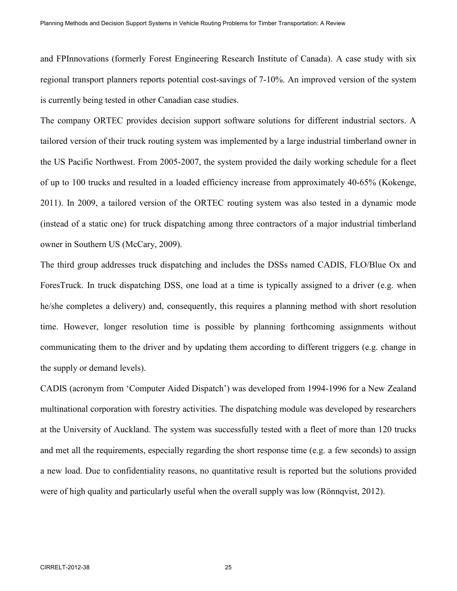and FPInnovations (formerly Forest Engineering Research Institute of Canada). A case study with six regional transport planners reports potential cost-savings of 7-10%. An improved version of the system is currently being tested in other Canadian case studies.

The company ORTEC provides decision support software solutions for different industrial sectors. A tailored version of their truck routing system was implemented by a large industrial timberland owner in the US Pacific Northwest. From 2005-2007, the system provided the daily working schedule for a fleet of up to 100 trucks and resulted in a loaded efficiency increase from approximately 40-65% (Kokenge, 2011). In 2009, a tailored version of the ORTEC routing system was also tested in a dynamic mode (instead of a static one) for truck dispatching among three contractors of a major industrial timberland owner in Southern US (McCary, 2009).

The third group addresses truck dispatching and includes the DSSs named CADIS, FLO/Blue Ox and ForesTruck. In truck dispatching DSS, one load at a time is typically assigned to a driver (e.g. when he/she completes a delivery) and, consequently, this requires a planning method with short resolution time. However, longer resolution time is possible by planning forthcoming assignments without communicating them to the driver and by updating them according to different triggers (e.g. change in the supply or demand levels).

CADIS (acronym from 'Computer Aided Dispatch') was developed from 1994-1996 for a New Zealand multinational corporation with forestry activities. The dispatching module was developed by researchers at the University of Auckland. The system was successfully tested with a fleet of more than 120 trucks and met all the requirements, especially regarding the short response time (e.g. a few seconds) to assign a new load. Due to confidentiality reasons, no quantitative result is reported but the solutions provided were of high quality and particularly useful when the overall supply was low (Rönnqvist, 2012).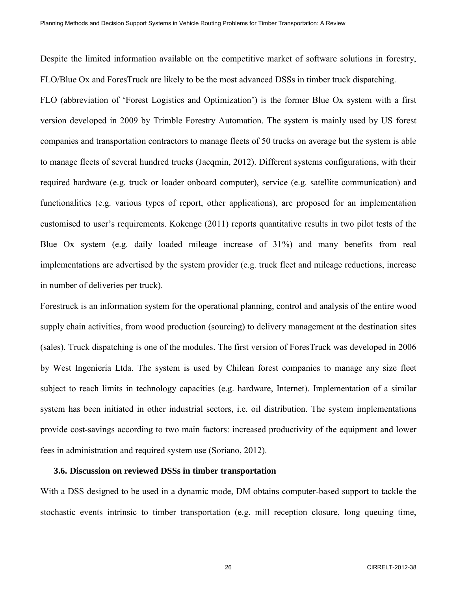Despite the limited information available on the competitive market of software solutions in forestry, FLO/Blue Ox and ForesTruck are likely to be the most advanced DSSs in timber truck dispatching.

FLO (abbreviation of 'Forest Logistics and Optimization') is the former Blue Ox system with a first version developed in 2009 by Trimble Forestry Automation. The system is mainly used by US forest companies and transportation contractors to manage fleets of 50 trucks on average but the system is able to manage fleets of several hundred trucks (Jacqmin, 2012). Different systems configurations, with their required hardware (e.g. truck or loader onboard computer), service (e.g. satellite communication) and functionalities (e.g. various types of report, other applications), are proposed for an implementation customised to user's requirements. Kokenge (2011) reports quantitative results in two pilot tests of the Blue Ox system (e.g. daily loaded mileage increase of 31%) and many benefits from real implementations are advertised by the system provider (e.g. truck fleet and mileage reductions, increase in number of deliveries per truck).

Forestruck is an information system for the operational planning, control and analysis of the entire wood supply chain activities, from wood production (sourcing) to delivery management at the destination sites (sales). Truck dispatching is one of the modules. The first version of ForesTruck was developed in 2006 by West Ingeniería Ltda. The system is used by Chilean forest companies to manage any size fleet subject to reach limits in technology capacities (e.g. hardware, Internet). Implementation of a similar system has been initiated in other industrial sectors, i.e. oil distribution. The system implementations provide cost-savings according to two main factors: increased productivity of the equipment and lower fees in administration and required system use (Soriano, 2012).

#### **3.6. Discussion on reviewed DSSs in timber transportation**

With a DSS designed to be used in a dynamic mode, DM obtains computer-based support to tackle the stochastic events intrinsic to timber transportation (e.g. mill reception closure, long queuing time,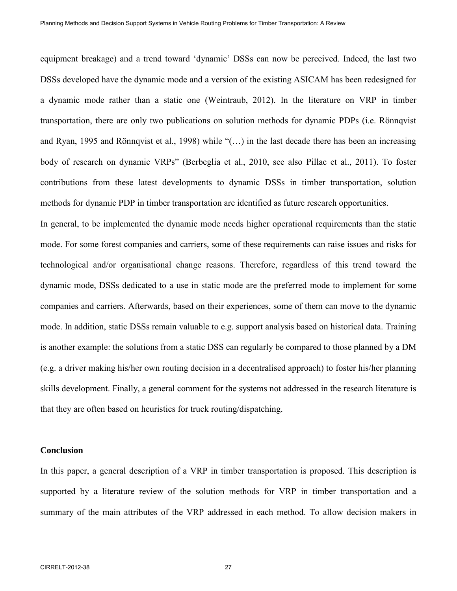equipment breakage) and a trend toward 'dynamic' DSSs can now be perceived. Indeed, the last two DSSs developed have the dynamic mode and a version of the existing ASICAM has been redesigned for a dynamic mode rather than a static one (Weintraub, 2012). In the literature on VRP in timber transportation, there are only two publications on solution methods for dynamic PDPs (i.e. Rönnqvist and Ryan, 1995 and Rönnqvist et al., 1998) while "(…) in the last decade there has been an increasing body of research on dynamic VRPs" (Berbeglia et al., 2010, see also Pillac et al., 2011). To foster contributions from these latest developments to dynamic DSSs in timber transportation, solution methods for dynamic PDP in timber transportation are identified as future research opportunities.

In general, to be implemented the dynamic mode needs higher operational requirements than the static mode. For some forest companies and carriers, some of these requirements can raise issues and risks for technological and/or organisational change reasons. Therefore, regardless of this trend toward the dynamic mode, DSSs dedicated to a use in static mode are the preferred mode to implement for some companies and carriers. Afterwards, based on their experiences, some of them can move to the dynamic mode. In addition, static DSSs remain valuable to e.g. support analysis based on historical data. Training is another example: the solutions from a static DSS can regularly be compared to those planned by a DM (e.g. a driver making his/her own routing decision in a decentralised approach) to foster his/her planning skills development. Finally, a general comment for the systems not addressed in the research literature is that they are often based on heuristics for truck routing/dispatching.

#### **Conclusion**

In this paper, a general description of a VRP in timber transportation is proposed. This description is supported by a literature review of the solution methods for VRP in timber transportation and a summary of the main attributes of the VRP addressed in each method. To allow decision makers in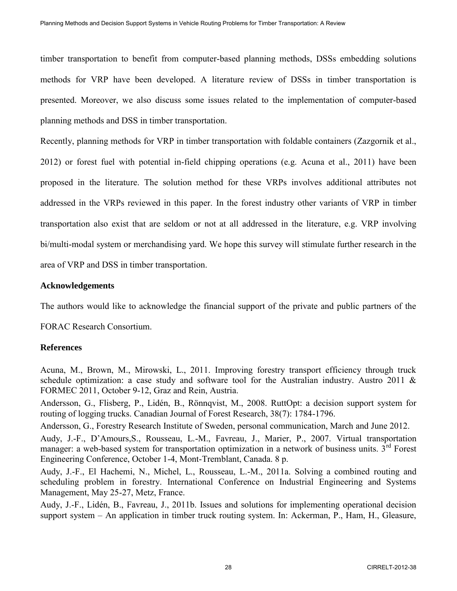timber transportation to benefit from computer-based planning methods, DSSs embedding solutions methods for VRP have been developed. A literature review of DSSs in timber transportation is presented. Moreover, we also discuss some issues related to the implementation of computer-based planning methods and DSS in timber transportation.

Recently, planning methods for VRP in timber transportation with foldable containers (Zazgornik et al., 2012) or forest fuel with potential in-field chipping operations (e.g. Acuna et al., 2011) have been proposed in the literature. The solution method for these VRPs involves additional attributes not addressed in the VRPs reviewed in this paper. In the forest industry other variants of VRP in timber transportation also exist that are seldom or not at all addressed in the literature, e.g. VRP involving bi/multi-modal system or merchandising yard. We hope this survey will stimulate further research in the area of VRP and DSS in timber transportation.

### **Acknowledgements**

The authors would like to acknowledge the financial support of the private and public partners of the

FORAC Research Consortium.

#### **References**

Acuna, M., Brown, M., Mirowski, L., 2011. Improving forestry transport efficiency through truck schedule optimization: a case study and software tool for the Australian industry. Austro 2011 & FORMEC 2011, October 9-12, Graz and Rein, Austria.

Andersson, G., Flisberg, P., Lidén, B., Rönnqvist, M., 2008. RuttOpt: a decision support system for routing of logging trucks. Canadian Journal of Forest Research, 38(7): 1784-1796.

Andersson, G., Forestry Research Institute of Sweden, personal communication, March and June 2012.

Audy, J.-F., D'Amours,S., Rousseau, L.-M., Favreau, J., Marier, P., 2007. Virtual transportation manager: a web-based system for transportation optimization in a network of business units.  $3<sup>rd</sup>$  Forest Engineering Conference, October 1-4, Mont-Tremblant, Canada. 8 p.

Audy, J.-F., El Hachemi, N., Michel, L., Rousseau, L.-M., 2011a. Solving a combined routing and scheduling problem in forestry. International Conference on Industrial Engineering and Systems Management, May 25-27, Metz, France.

Audy, J.-F., Lidén, B., Favreau, J., 2011b. Issues and solutions for implementing operational decision support system – An application in timber truck routing system. In: Ackerman, P., Ham, H., Gleasure,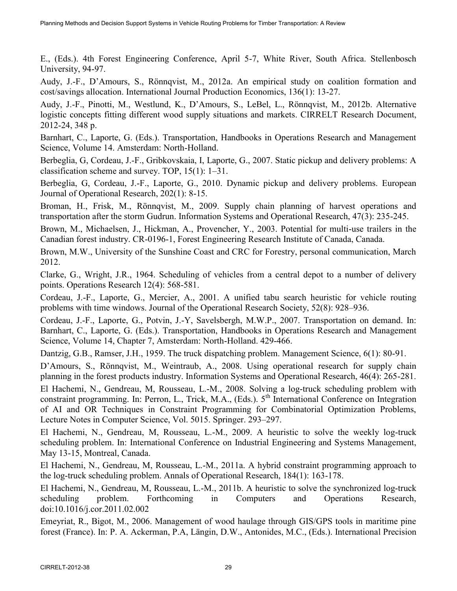E., (Eds.). 4th Forest Engineering Conference, April 5-7, White River, South Africa. Stellenbosch University, 94-97.

Audy, J.-F., D'Amours, S., Rönnqvist, M., 2012a. An empirical study on coalition formation and cost/savings allocation. International Journal Production Economics, 136(1): 13-27.

Audy, J.-F., Pinotti, M., Westlund, K., D'Amours, S., LeBel, L., Rönnqvist, M., 2012b. Alternative logistic concepts fitting different wood supply situations and markets. CIRRELT Research Document, 2012-24, 348 p.

Barnhart, C., Laporte, G. (Eds.). Transportation, Handbooks in Operations Research and Management Science, Volume 14. Amsterdam: North-Holland.

Berbeglia, G, Cordeau, J.-F., Gribkovskaia, I, Laporte, G., 2007. Static pickup and delivery problems: A classification scheme and survey. TOP, 15(1): 1–31.

Berbeglia, G, Cordeau, J.-F., Laporte, G., 2010. Dynamic pickup and delivery problems. European Journal of Operational Research, 202(1): 8-15.

Broman, H., Frisk, M., Rönnqvist, M., 2009. Supply chain planning of harvest operations and transportation after the storm Gudrun. Information Systems and Operational Research, 47(3): 235-245.

Brown, M., Michaelsen, J., Hickman, A., Provencher, Y., 2003. Potential for multi-use trailers in the Canadian forest industry. CR-0196-1, Forest Engineering Research Institute of Canada, Canada.

Brown, M.W., University of the Sunshine Coast and CRC for Forestry, personal communication, March 2012.

Clarke, G., Wright, J.R., 1964. Scheduling of vehicles from a central depot to a number of delivery points. Operations Research 12(4): 568-581.

Cordeau, J.-F., Laporte, G., Mercier, A., 2001. A unified tabu search heuristic for vehicle routing problems with time windows. Journal of the Operational Research Society, 52(8): 928–936.

Cordeau, J.-F., Laporte, G., Potvin, J.-Y, Savelsbergh, M.W.P., 2007. Transportation on demand. In: Barnhart, C., Laporte, G. (Eds.). Transportation, Handbooks in Operations Research and Management Science, Volume 14, Chapter 7, Amsterdam: North-Holland. 429-466.

Dantzig, G.B., Ramser, J.H., 1959. The truck dispatching problem. Management Science, 6(1): 80-91.

D'Amours, S., Rönnqvist, M., Weintraub, A., 2008. Using operational research for supply chain planning in the forest products industry. Information Systems and Operational Research, 46(4): 265-281.

El Hachemi, N., Gendreau, M, Rousseau, L.-M., 2008. Solving a log-truck scheduling problem with constraint programming. In: Perron, L., Trick, M.A., (Eds.).  $5<sup>th</sup>$  International Conference on Integration of AI and OR Techniques in Constraint Programming for Combinatorial Optimization Problems, Lecture Notes in Computer Science, Vol. 5015. Springer. 293–297.

El Hachemi, N., Gendreau, M, Rousseau, L.-M., 2009. A heuristic to solve the weekly log-truck scheduling problem. In: International Conference on Industrial Engineering and Systems Management, May 13-15, Montreal, Canada.

El Hachemi, N., Gendreau, M, Rousseau, L.-M., 2011a. A hybrid constraint programming approach to the log-truck scheduling problem. Annals of Operational Research, 184(1): 163-178.

El Hachemi, N., Gendreau, M, Rousseau, L.-M., 2011b. A heuristic to solve the synchronized log-truck scheduling problem. Forthcoming in Computers and Operations Research, doi:10.1016/j.cor.2011.02.002

Emeyriat, R., Bigot, M., 2006. Management of wood haulage through GIS/GPS tools in maritime pine forest (France). In: P. A. Ackerman, P.A, Längin, D.W., Antonides, M.C., (Eds.). International Precision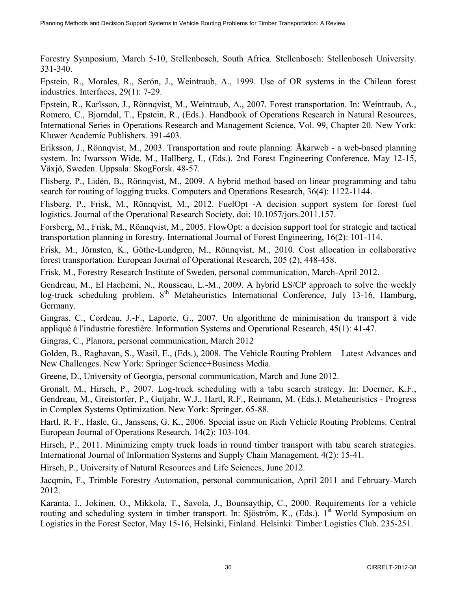Forestry Symposium, March 5-10, Stellenbosch, South Africa. Stellenbosch: Stellenbosch University. 331-340.

Epstein, R., Morales, R., Serón, J., Weintraub, A., 1999. Use of OR systems in the Chilean forest industries. Interfaces, 29(1): 7-29.

Epstein, R., Karlsson, J., Rönnqvist, M., Weintraub, A., 2007. Forest transportation. In: Weintraub, A., Romero, C., Bjorndal, T., Epstein, R., (Eds.). Handbook of Operations Research in Natural Resources, International Series in Operations Research and Management Science, Vol. 99, Chapter 20. New York: Kluwer Academic Publishers. 391-403.

Eriksson, J., Rönnqvist, M., 2003. Transportation and route planning: Åkarweb - a web-based planning system. In: Iwarsson Wide, M., Hallberg, I., (Eds.). 2nd Forest Engineering Conference, May 12-15, Växjö, Sweden. Uppsala: SkogForsk. 48-57.

Flisberg, P., Lidén, B., Rönnqvist, M., 2009. A hybrid method based on linear programming and tabu search for routing of logging trucks. Computers and Operations Research, 36(4): 1122-1144.

Flisberg, P., Frisk, M., Rönnqvist, M., 2012. FuelOpt -A decision support system for forest fuel logistics. Journal of the Operational Research Society, doi: 10.1057/jors.2011.157.

Forsberg, M., Frisk, M., Rönnqvist, M., 2005. FlowOpt: a decision support tool for strategic and tactical transportation planning in forestry. International Journal of Forest Engineering, 16(2): 101-114.

Frisk, M., Jörnsten, K., Göthe-Lundgren, M., Rönnqvist, M., 2010. Cost allocation in collaborative forest transportation. European Journal of Operational Research, 205 (2), 448-458.

Frisk, M., Forestry Research Institute of Sweden, personal communication, March-April 2012.

Gendreau, M., El Hachemi, N., Rousseau, L.-M., 2009. A hybrid LS/CP approach to solve the weekly log-truck scheduling problem. 8<sup>th</sup> Metaheuristics International Conference, July 13-16, Hamburg, Germany.

Gingras, C., Cordeau, J.-F., Laporte, G., 2007. Un algorithme de minimisation du transport à vide appliqué à l'industrie forestière. Information Systems and Operational Research, 45(1): 41-47.

Gingras, C., Planora, personal communication, March 2012

Golden, B., Raghavan, S., Wasil, E., (Eds.), 2008. The Vehicle Routing Problem – Latest Advances and New Challenges. New York: Springer Science+Business Media.

Greene, D., University of Georgia, personal communication, March and June 2012.

Gronalt, M., Hirsch, P., 2007. Log-truck scheduling with a tabu search strategy. In: Doerner, K.F., Gendreau, M., Greistorfer, P., Gutjahr, W.J., Hartl, R.F., Reimann, M. (Eds.). Metaheuristics - Progress in Complex Systems Optimization. New York: Springer. 65-88.

Hartl, R. F., Hasle, G., Janssens, G. K., 2006. Special issue on Rich Vehicle Routing Problems. Central European Journal of Operations Research, 14(2): 103-104.

Hirsch, P., 2011. Minimizing empty truck loads in round timber transport with tabu search strategies. International Journal of Information Systems and Supply Chain Management, 4(2): 15-41.

Hirsch, P., University of Natural Resources and Life Sciences, June 2012.

Jacqmin, F., Trimble Forestry Automation, personal communication, April 2011 and February-March 2012.

Karanta, I., Jokinen, O., Mikkola, T., Savola, J., Bounsaythip, C., 2000. Requirements for a vehicle routing and scheduling system in timber transport. In: Sjöström, K., (Eds.). 1<sup>st</sup> World Symposium on Logistics in the Forest Sector, May 15-16, Helsinki, Finland. Helsinki: Timber Logistics Club. 235-251.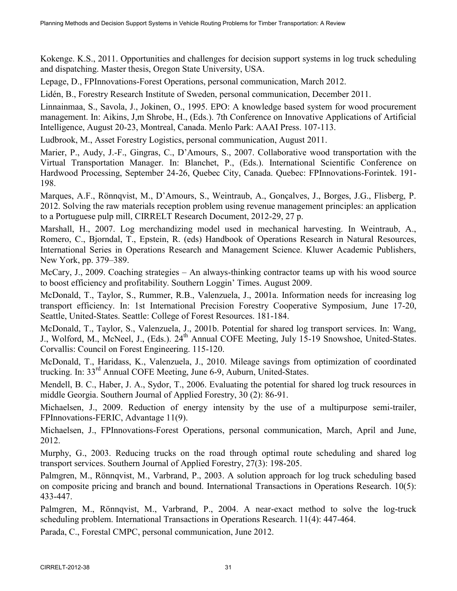Kokenge. K.S., 2011. Opportunities and challenges for decision support systems in log truck scheduling and dispatching. Master thesis, Oregon State University, USA.

Lepage, D., FPInnovations-Forest Operations, personal communication, March 2012.

Lidén, B., Forestry Research Institute of Sweden, personal communication, December 2011.

Linnainmaa, S., Savola, J., Jokinen, O., 1995. EPO: A knowledge based system for wood procurement management. In: Aikins, J,m Shrobe, H., (Eds.). 7th Conference on Innovative Applications of Artificial Intelligence, August 20-23, Montreal, Canada. Menlo Park: AAAI Press. 107-113.

Ludbrook, M., Asset Forestry Logistics, personal communication, August 2011.

Marier, P., Audy, J.-F., Gingras, C., D'Amours, S., 2007. Collaborative wood transportation with the Virtual Transportation Manager. In: Blanchet, P., (Eds.). International Scientific Conference on Hardwood Processing, September 24-26, Quebec City, Canada. Quebec: FPInnovations-Forintek. 191- 198.

Marques, A.F., Rönnqvist, M., D'Amours, S., Weintraub, A., Gonçalves, J., Borges, J.G., Flisberg, P. 2012. Solving the raw materials reception problem using revenue management principles: an application to a Portuguese pulp mill, CIRRELT Research Document, 2012-29, 27 p.

Marshall, H., 2007. Log merchandizing model used in mechanical harvesting. In Weintraub, A., Romero, C., Bjorndal, T., Epstein, R. (eds) Handbook of Operations Research in Natural Resources, International Series in Operations Research and Management Science. Kluwer Academic Publishers, New York, pp. 379–389.

McCary, J., 2009. Coaching strategies – An always-thinking contractor teams up with his wood source to boost efficiency and profitability. Southern Loggin' Times. August 2009.

McDonald, T., Taylor, S., Rummer, R.B., Valenzuela, J., 2001a. Information needs for increasing log transport efficiency. In: 1st International Precision Forestry Cooperative Symposium, June 17-20, Seattle, United-States. Seattle: College of Forest Resources. 181-184.

McDonald, T., Taylor, S., Valenzuela, J., 2001b. Potential for shared log transport services. In: Wang, J., Wolford, M., McNeel, J., (Eds.). 24<sup>th</sup> Annual COFE Meeting, July 15-19 Snowshoe, United-States. Corvallis: Council on Forest Engineering. 115-120.

McDonald, T., Haridass, K., Valenzuela, J., 2010. Mileage savings from optimization of coordinated trucking. In: 33rd Annual COFE Meeting, June 6-9, Auburn, United-States.

Mendell, B. C., Haber, J. A., Sydor, T., 2006. Evaluating the potential for shared log truck resources in middle Georgia. Southern Journal of Applied Forestry, 30 (2): 86-91.

Michaelsen, J., 2009. Reduction of energy intensity by the use of a multipurpose semi-trailer, FPInnovations-FERIC, Advantage 11(9).

Michaelsen, J., FPInnovations-Forest Operations, personal communication, March, April and June, 2012.

Murphy, G., 2003. Reducing trucks on the road through optimal route scheduling and shared log transport services. Southern Journal of Applied Forestry, 27(3): 198-205.

Palmgren, M., Rönnqvist, M., Varbrand, P., 2003. A solution approach for log truck scheduling based on composite pricing and branch and bound. International Transactions in Operations Research. 10(5): 433-447.

Palmgren, M., Rönnqvist, M., Varbrand, P., 2004. A near-exact method to solve the log-truck scheduling problem. International Transactions in Operations Research. 11(4): 447-464.

Parada, C., Forestal CMPC, personal communication, June 2012.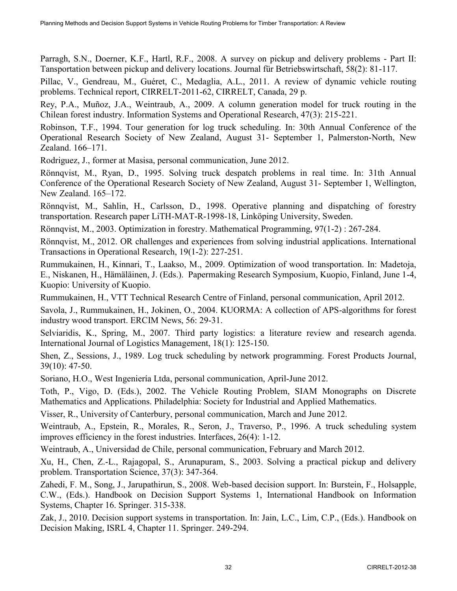Parragh, S.N., Doerner, K.F., Hartl, R.F., 2008. A survey on pickup and delivery problems - Part II: Tansportation between pickup and delivery locations. Journal für Betriebswirtschaft, 58(2): 81-117.

Pillac, V., Gendreau, M., Guéret, C., Medaglia, A.L., 2011. A review of dynamic vehicle routing problems. Technical report, CIRRELT-2011-62, CIRRELT, Canada, 29 p.

Rey, P.A., Muñoz, J.A., Weintraub, A., 2009. A column generation model for truck routing in the Chilean forest industry. Information Systems and Operational Research, 47(3): 215-221.

Robinson, T.F., 1994. Tour generation for log truck scheduling. In: 30th Annual Conference of the Operational Research Society of New Zealand, August 31- September 1, Palmerston-North, New Zealand. 166–171.

Rodriguez, J., former at Masisa, personal communication, June 2012.

Rönnqvist, M., Ryan, D., 1995. Solving truck despatch problems in real time. In: 31th Annual Conference of the Operational Research Society of New Zealand, August 31- September 1, Wellington, New Zealand. 165–172.

Rönnqvist, M., Sahlin, H., Carlsson, D., 1998. Operative planning and dispatching of forestry transportation. Research paper LiTH-MAT-R-1998-18, Linköping University, Sweden.

Rönnqvist, M., 2003. Optimization in forestry. Mathematical Programming, 97(1-2) : 267-284.

Rönnqvist, M., 2012. OR challenges and experiences from solving industrial applications. International Transactions in Operational Research, 19(1-2): 227-251.

Rummukainen, H., Kinnari, T., Laakso, M., 2009. Optimization of wood transportation. In: Madetoja, E., Niskanen, H., Hämäläinen, J. (Eds.). Papermaking Research Symposium, Kuopio, Finland, June 1-4, Kuopio: University of Kuopio.

Rummukainen, H., VTT Technical Research Centre of Finland, personal communication, April 2012.

Savola, J., Rummukainen, H., Jokinen, O., 2004. KUORMA: A collection of APS-algorithms for forest industry wood transport. ERCIM News, 56: 29-31.

Selviaridis, K., Spring, M., 2007. Third party logistics: a literature review and research agenda. International Journal of Logistics Management, 18(1): 125-150.

Shen, Z., Sessions, J., 1989. Log truck scheduling by network programming. Forest Products Journal, 39(10): 47-50.

Soriano, H.O., West Ingeniería Ltda, personal communication, April-June 2012.

Toth, P., Vigo, D. (Eds.), 2002. The Vehicle Routing Problem, SIAM Monographs on Discrete Mathematics and Applications. Philadelphia: Society for Industrial and Applied Mathematics.

Visser, R., University of Canterbury, personal communication, March and June 2012.

Weintraub, A., Epstein, R., Morales, R., Seron, J., Traverso, P., 1996. A truck scheduling system improves efficiency in the forest industries. Interfaces, 26(4): 1-12.

Weintraub, A., Universidad de Chile, personal communication, February and March 2012.

Xu, H., Chen, Z.-L., Rajagopal, S., Arunapuram, S., 2003. Solving a practical pickup and delivery problem. Transportation Science, 37(3): 347-364.

Zahedi, F. M., Song, J., Jarupathirun, S., 2008. Web-based decision support. In: Burstein, F., Holsapple, C.W., (Eds.). Handbook on Decision Support Systems 1, International Handbook on Information Systems, Chapter 16. Springer. 315-338.

Zak, J., 2010. Decision support systems in transportation. In: Jain, L.C., Lim, C.P., (Eds.). Handbook on Decision Making, ISRL 4, Chapter 11. Springer. 249-294.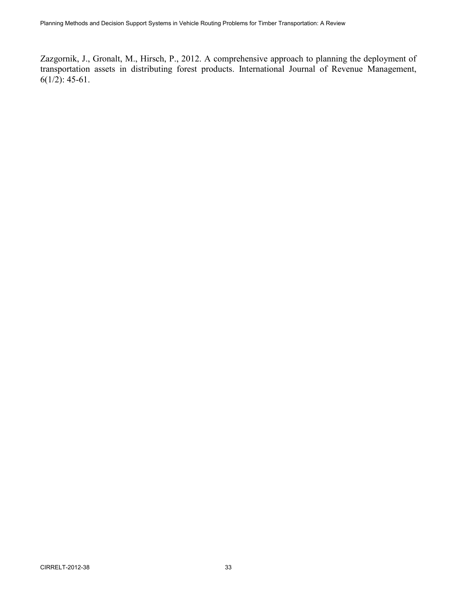Zazgornik, J., Gronalt, M., Hirsch, P., 2012. A comprehensive approach to planning the deployment of transportation assets in distributing forest products. International Journal of Revenue Management,  $6(1/2)$ : 45-61.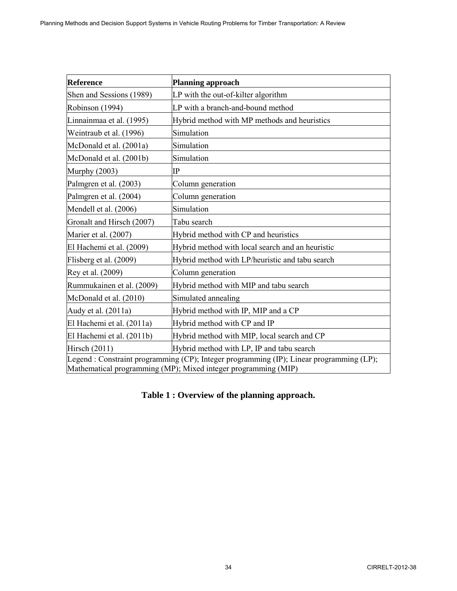| Reference                 | <b>Planning approach</b>                                                                                                                                  |
|---------------------------|-----------------------------------------------------------------------------------------------------------------------------------------------------------|
| Shen and Sessions (1989)  | LP with the out-of-kilter algorithm                                                                                                                       |
| Robinson (1994)           | LP with a branch-and-bound method                                                                                                                         |
| Linnainmaa et al. (1995)  | Hybrid method with MP methods and heuristics                                                                                                              |
| Weintraub et al. (1996)   | Simulation                                                                                                                                                |
| McDonald et al. (2001a)   | Simulation                                                                                                                                                |
| McDonald et al. (2001b)   | Simulation                                                                                                                                                |
| Murphy (2003)             | IP                                                                                                                                                        |
| Palmgren et al. (2003)    | Column generation                                                                                                                                         |
| Palmgren et al. (2004)    | Column generation                                                                                                                                         |
| Mendell et al. (2006)     | Simulation                                                                                                                                                |
| Gronalt and Hirsch (2007) | Tabu search                                                                                                                                               |
| Marier et al. (2007)      | Hybrid method with CP and heuristics                                                                                                                      |
| El Hachemi et al. (2009)  | Hybrid method with local search and an heuristic                                                                                                          |
| Flisberg et al. (2009)    | Hybrid method with LP/heuristic and tabu search                                                                                                           |
| Rey et al. (2009)         | Column generation                                                                                                                                         |
| Rummukainen et al. (2009) | Hybrid method with MIP and tabu search                                                                                                                    |
| McDonald et al. (2010)    | Simulated annealing                                                                                                                                       |
| Audy et al. (2011a)       | Hybrid method with IP, MIP and a CP                                                                                                                       |
| El Hachemi et al. (2011a) | Hybrid method with CP and IP                                                                                                                              |
| El Hachemi et al. (2011b) | Hybrid method with MIP, local search and CP                                                                                                               |
| Hirsch (2011)             | Hybrid method with LP, IP and tabu search                                                                                                                 |
|                           | Legend: Constraint programming (CP); Integer programming (IP); Linear programming (LP);<br>Mathematical programming (MP); Mixed integer programming (MIP) |

# <span id="page-35-0"></span>**Table 1 : Overview of the planning approach.**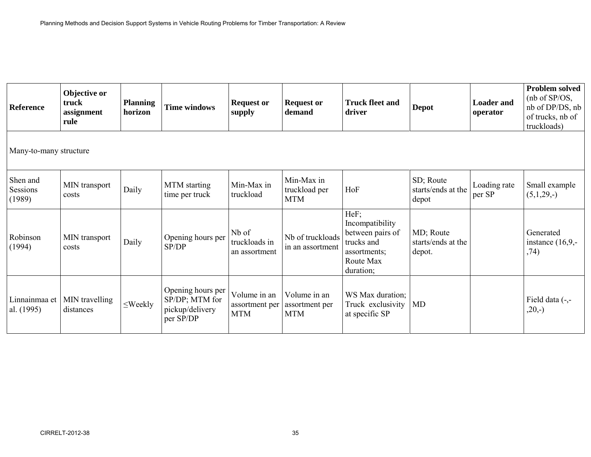| Reference                      | Objective or<br>truck<br>assignment<br>rule | <b>Planning</b><br>horizon | <b>Time windows</b>                                                 | <b>Request or</b><br>supply                  | <b>Request or</b><br>demand                  | <b>Truck fleet and</b><br>driver                                                                       | <b>Depot</b>                              | <b>Loader</b> and<br>operator | <b>Problem solved</b><br>(nb of SP/OS,<br>nb of DP/DS, nb<br>of trucks, nb of<br>truckloads) |
|--------------------------------|---------------------------------------------|----------------------------|---------------------------------------------------------------------|----------------------------------------------|----------------------------------------------|--------------------------------------------------------------------------------------------------------|-------------------------------------------|-------------------------------|----------------------------------------------------------------------------------------------|
| Many-to-many structure         |                                             |                            |                                                                     |                                              |                                              |                                                                                                        |                                           |                               |                                                                                              |
| Shen and<br>Sessions<br>(1989) | MIN transport<br>costs                      | Daily                      | MTM starting<br>time per truck                                      | Min-Max in<br>truckload                      | Min-Max in<br>truckload per<br><b>MTM</b>    | HoF                                                                                                    | SD; Route<br>starts/ends at the<br>depot  | Loading rate<br>per SP        | Small example<br>$(5,1,29,-)$                                                                |
| Robinson<br>(1994)             | MIN transport<br>costs                      | Daily                      | Opening hours per<br>SP/DP                                          | Nb of<br>truckloads in<br>an assortment      | Nb of truckloads<br>in an assortment         | $HeF$ ;<br>Incompatibility<br>between pairs of<br>trucks and<br>assortments;<br>Route Max<br>duration; | MD; Route<br>starts/ends at the<br>depot. |                               | Generated<br>instance $(16,9,-$<br>,74)                                                      |
| Linnainmaa et<br>al. (1995)    | MIN travelling<br>distances                 | $\leq$ Weekly              | Opening hours per<br>SP/DP; MTM for<br>pickup/delivery<br>per SP/DP | Volume in an<br>assortment per<br><b>MTM</b> | Volume in an<br>assortment per<br><b>MTM</b> | WS Max duration;<br>Truck exclusivity<br>at specific SP                                                | MD                                        |                               | Field data $(-,-)$<br>$,20,-)$                                                               |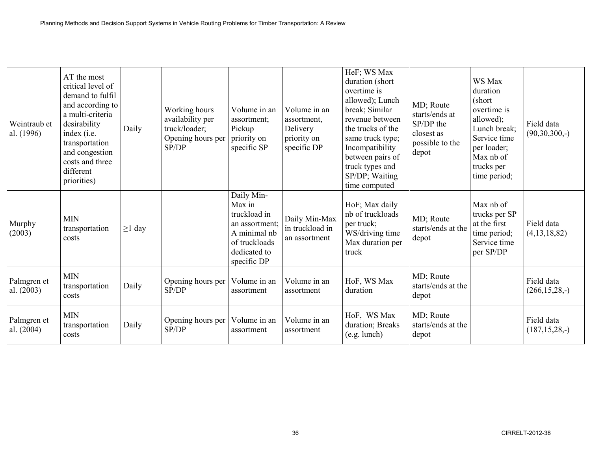| Weintraub et<br>al. (1996)  | AT the most<br>critical level of<br>demand to fulfil<br>and according to<br>a multi-criteria<br>desirability<br>index (i.e.<br>transportation<br>and congestion<br>costs and three<br>different<br>priorities) | Daily        | Working hours<br>availability per<br>truck/loader;<br>Opening hours per<br>SP/DP | Volume in an<br>assortment;<br>Pickup<br>priority on<br>specific SP                                                    | Volume in an<br>assortment,<br>Delivery<br>priority on<br>specific DP | HeF; WS Max<br>duration (short)<br>overtime is<br>allowed); Lunch<br>break; Similar<br>revenue between<br>the trucks of the<br>same truck type;<br>Incompatibility<br>between pairs of<br>truck types and<br>SP/DP; Waiting<br>time computed | MD; Route<br>starts/ends at<br>SP/DP the<br>closest as<br>possible to the<br>depot | WS Max<br>duration<br>(short)<br>overtime is<br>allowed);<br>Lunch break;<br>Service time<br>per loader;<br>Max nb of<br>trucks per<br>time period; | Field data<br>$(90,30,300,-)$    |
|-----------------------------|----------------------------------------------------------------------------------------------------------------------------------------------------------------------------------------------------------------|--------------|----------------------------------------------------------------------------------|------------------------------------------------------------------------------------------------------------------------|-----------------------------------------------------------------------|----------------------------------------------------------------------------------------------------------------------------------------------------------------------------------------------------------------------------------------------|------------------------------------------------------------------------------------|-----------------------------------------------------------------------------------------------------------------------------------------------------|----------------------------------|
| Murphy<br>(2003)            | <b>MIN</b><br>transportation<br>costs                                                                                                                                                                          | $\geq$ 1 day |                                                                                  | Daily Min-<br>Max in<br>truckload in<br>an assortment.<br>A minimal nb<br>of truckloads<br>dedicated to<br>specific DP | Daily Min-Max<br>in truckload in<br>an assortment                     | HoF; Max daily<br>nb of truckloads<br>per truck;<br>WS/driving time<br>Max duration per<br>truck                                                                                                                                             | MD; Route<br>starts/ends at the<br>depot                                           | Max nb of<br>trucks per SP<br>at the first<br>time period;<br>Service time<br>per SP/DP                                                             | Field data<br>(4,13,18,82)       |
| Palmgren et<br>al. $(2003)$ | <b>MIN</b><br>transportation<br>costs                                                                                                                                                                          | Daily        | Opening hours per<br>SP/DP                                                       | Volume in an<br>assortment                                                                                             | Volume in an<br>assortment                                            | HoF, WS Max<br>duration                                                                                                                                                                                                                      | MD; Route<br>starts/ends at the<br>depot                                           |                                                                                                                                                     | Field data<br>$(266, 15, 28, -)$ |
| Palmgren et<br>al. (2004)   | <b>MIN</b><br>transportation<br>costs                                                                                                                                                                          | Daily        | Opening hours per<br>SP/DP                                                       | Volume in an<br>assortment                                                                                             | Volume in an<br>assortment                                            | HoF, WS Max<br>duration; Breaks<br>(e.g. lunch)                                                                                                                                                                                              | MD; Route<br>starts/ends at the<br>depot                                           |                                                                                                                                                     | Field data<br>$(187, 15, 28, -)$ |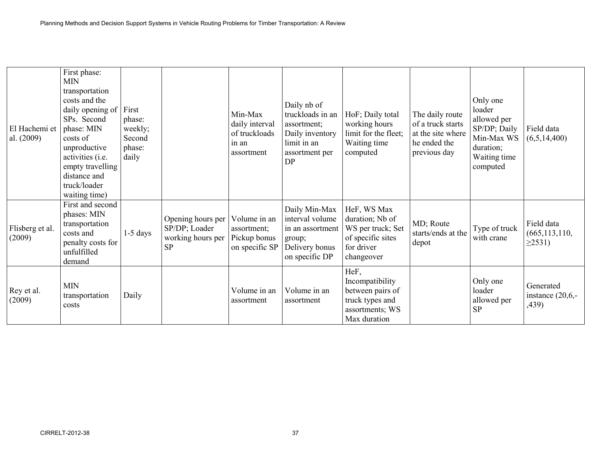| El Hachemi et<br>al. $(2009)$ | First phase:<br><b>MIN</b><br>transportation<br>costs and the<br>daily opening of First<br>SPs. Second<br>phase: MIN<br>costs of<br>unproductive<br>activities ( <i>i.e.</i><br>empty travelling<br>distance and<br>truck/loader<br>waiting time) | phase:<br>weekly;<br>Second<br>phase:<br>daily |                                                                      | Min-Max<br>daily interval<br>of truckloads<br>in an<br>assortment | Daily nb of<br>truckloads in an<br>assortment;<br>Daily inventory<br>limit in an<br>assortment per<br>DP | HoF; Daily total<br>working hours<br>limit for the fleet;<br>Waiting time<br>computed                | The daily route<br>of a truck starts<br>at the site where<br>he ended the<br>previous day | Only one<br>loader<br>allowed per<br>SP/DP; Daily<br>Min-Max WS<br>duration;<br>Waiting time<br>computed | Field data<br>(6,5,14,400)                    |
|-------------------------------|---------------------------------------------------------------------------------------------------------------------------------------------------------------------------------------------------------------------------------------------------|------------------------------------------------|----------------------------------------------------------------------|-------------------------------------------------------------------|----------------------------------------------------------------------------------------------------------|------------------------------------------------------------------------------------------------------|-------------------------------------------------------------------------------------------|----------------------------------------------------------------------------------------------------------|-----------------------------------------------|
| Flisberg et al.<br>(2009)     | First and second<br>phases: MIN<br>transportation<br>costs and<br>penalty costs for<br>unfulfilled<br>demand                                                                                                                                      | $1-5$ days                                     | Opening hours per<br>SP/DP; Loader<br>working hours per<br><b>SP</b> | Volume in an<br>assortment;<br>Pickup bonus<br>on specific SP     | Daily Min-Max<br>interval volume<br>in an assortment<br>group;<br>Delivery bonus<br>on specific DP       | HeF, WS Max<br>duration; Nb of<br>WS per truck; Set<br>of specific sites<br>for driver<br>changeover | MD; Route<br>starts/ends at the<br>depot                                                  | Type of truck<br>with crane                                                                              | Field data<br>(665, 113, 110,<br>$\geq$ 2531) |
| Rey et al.<br>(2009)          | <b>MIN</b><br>transportation<br>costs                                                                                                                                                                                                             | Daily                                          |                                                                      | Volume in an<br>assortment                                        | Volume in an<br>assortment                                                                               | HeF,<br>Incompatibility<br>between pairs of<br>truck types and<br>assortments; WS<br>Max duration    |                                                                                           | Only one<br>loader<br>allowed per<br><b>SP</b>                                                           | Generated<br>instance $(20,6,-$<br>,439)      |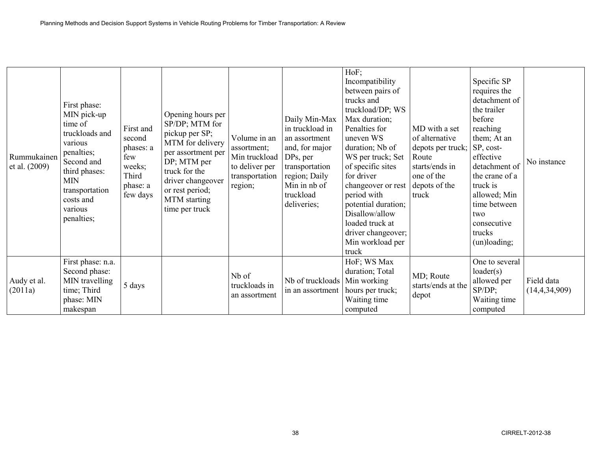| Rummukainen<br>et al. (2009) | First phase:<br>MIN pick-up<br>time of<br>truckloads and<br>various<br>penalties;<br>Second and<br>third phases:<br><b>MIN</b><br>transportation<br>costs and<br>various<br>penalties; | First and<br>second<br>phases: a<br>few<br>weeks;<br>Third<br>phase: a<br>few days | Opening hours per<br>SP/DP; MTM for<br>pickup per SP;<br>MTM for delivery<br>per assortment per<br>DP; MTM per<br>truck for the<br>driver changeover<br>or rest period;<br>MTM starting<br>time per truck | Volume in an<br>assortment;<br>Min truckload<br>to deliver per<br>transportation<br>region; | Daily Min-Max<br>in truckload in<br>an assortment<br>and, for major<br>DPs, per<br>transportation<br>region; Daily<br>Min in nb of<br>truckload<br>deliveries; | HoF;<br>Incompatibility<br>between pairs of<br>trucks and<br>truckload/DP; WS<br>Max duration;<br>Penalties for<br>uneven WS<br>duration; Nb of<br>WS per truck; Set<br>of specific sites<br>for driver<br>changeover or rest<br>period with<br>potential duration;<br>Disallow/allow<br>loaded truck at<br>driver changeover;<br>Min workload per<br>truck | MD with a set<br>of alternative<br>depots per truck;<br>Route<br>starts/ends in<br>one of the<br>depots of the<br>truck | Specific SP<br>requires the<br>detachment of<br>the trailer<br>before<br>reaching<br>them; At an<br>SP, cost-<br>effective<br>detachment of<br>the crane of a<br>truck is<br>allowed; Min<br>time between<br>two<br>consecutive<br>trucks<br>(un)loading; | No instance                    |
|------------------------------|----------------------------------------------------------------------------------------------------------------------------------------------------------------------------------------|------------------------------------------------------------------------------------|-----------------------------------------------------------------------------------------------------------------------------------------------------------------------------------------------------------|---------------------------------------------------------------------------------------------|----------------------------------------------------------------------------------------------------------------------------------------------------------------|-------------------------------------------------------------------------------------------------------------------------------------------------------------------------------------------------------------------------------------------------------------------------------------------------------------------------------------------------------------|-------------------------------------------------------------------------------------------------------------------------|-----------------------------------------------------------------------------------------------------------------------------------------------------------------------------------------------------------------------------------------------------------|--------------------------------|
| Audy et al.<br>(2011a)       | First phase: n.a.<br>Second phase:<br>MIN travelling<br>time; Third<br>phase: MIN<br>makespan                                                                                          | 5 days                                                                             |                                                                                                                                                                                                           | Nb of<br>truckloads in<br>an assortment                                                     | Nb of truckloads<br>in an assortment                                                                                                                           | HoF; WS Max<br>duration; Total<br>Min working<br>hours per truck;<br>Waiting time<br>computed                                                                                                                                                                                                                                                               | MD; Route<br>starts/ends at the<br>depot                                                                                | One to several<br>loader(s)<br>allowed per<br>$SP/DP$ ;<br>Waiting time<br>computed                                                                                                                                                                       | Field data<br>(14, 4, 34, 909) |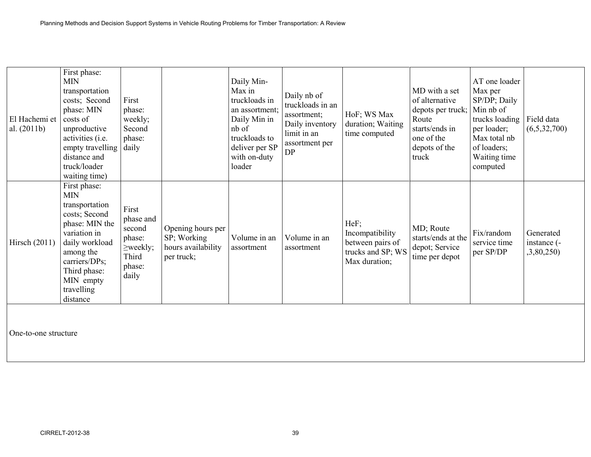| El Hachemi et<br>al. $(2011b)$ | First phase:<br><b>MIN</b><br>transportation<br>costs; Second<br>phase: MIN<br>costs of<br>unproductive<br>activities (i.e.<br>empty travelling   daily<br>distance and<br>truck/loader<br>waiting time) | First<br>phase:<br>weekly;<br>Second<br>phase:                                       |                                                                      | Daily Min-<br>Max in<br>truckloads in<br>an assortment;<br>Daily Min in<br>nb of<br>truckloads to<br>deliver per SP<br>with on-duty<br>loader | Daily nb of<br>truckloads in an<br>assortment;<br>Daily inventory<br>limit in an<br>assortment per<br>DP | HoF; WS Max<br>duration; Waiting<br>time computed                                    | MD with a set<br>of alternative<br>depots per truck;<br>Route<br>starts/ends in<br>one of the<br>depots of the<br>truck | AT one loader<br>Max per<br>SP/DP; Daily<br>Min nb of<br>trucks loading<br>per loader;<br>Max total nb<br>of loaders;<br>Waiting time<br>computed | Field data<br>(6,5,32,700)             |
|--------------------------------|----------------------------------------------------------------------------------------------------------------------------------------------------------------------------------------------------------|--------------------------------------------------------------------------------------|----------------------------------------------------------------------|-----------------------------------------------------------------------------------------------------------------------------------------------|----------------------------------------------------------------------------------------------------------|--------------------------------------------------------------------------------------|-------------------------------------------------------------------------------------------------------------------------|---------------------------------------------------------------------------------------------------------------------------------------------------|----------------------------------------|
| Hirsch $(2011)$                | First phase:<br><b>MIN</b><br>transportation<br>costs; Second<br>phase: MIN the<br>variation in<br>daily workload<br>among the<br>carriers/DPs;<br>Third phase:<br>MIN empty<br>travelling<br>distance   | First<br>phase and<br>second<br>phase:<br>$\geq$ weekly;<br>Third<br>phase:<br>daily | Opening hours per<br>SP; Working<br>hours availability<br>per truck; | Volume in an<br>assortment                                                                                                                    | Volume in an<br>assortment                                                                               | $HeF$ ;<br>Incompatibility<br>between pairs of<br>trucks and SP; WS<br>Max duration; | MD; Route<br>starts/ends at the<br>depot; Service<br>time per depot                                                     | Fix/random<br>service time<br>per SP/DP                                                                                                           | Generated<br>instance (-<br>,3,80,250) |

One-to-one structure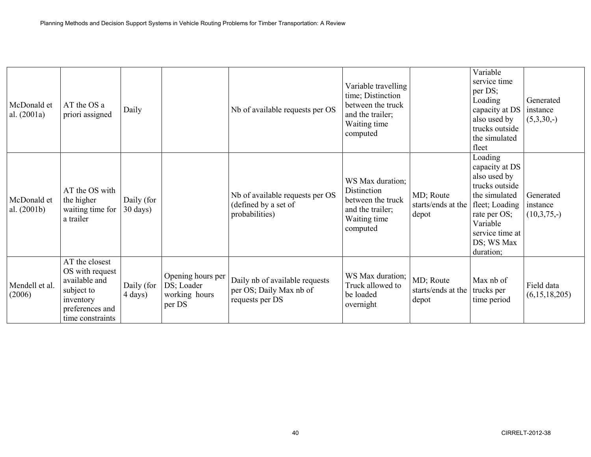| McDonald et<br>al. $(2001a)$ | AT the OS a<br>priori assigned                                                                                       | Daily                             |                                                            | Nb of available requests per OS                                              | Variable travelling<br>time; Distinction<br>between the truck<br>and the trailer;<br>Waiting time<br>computed |                                          | Variable<br>service time<br>per DS;<br>Loading<br>capacity at DS<br>also used by<br>trucks outside<br>the simulated<br>fleet                                             | Generated<br>instance<br>$(5,3,30,-)$  |
|------------------------------|----------------------------------------------------------------------------------------------------------------------|-----------------------------------|------------------------------------------------------------|------------------------------------------------------------------------------|---------------------------------------------------------------------------------------------------------------|------------------------------------------|--------------------------------------------------------------------------------------------------------------------------------------------------------------------------|----------------------------------------|
| McDonald et<br>al. $(2001b)$ | AT the OS with<br>the higher<br>waiting time for<br>a trailer                                                        | Daily (for<br>$30 \text{ days}$ ) |                                                            | Nb of available requests per OS<br>(defined by a set of<br>probabilities)    | WS Max duration;<br>Distinction<br>between the truck<br>and the trailer;<br>Waiting time<br>computed          | MD; Route<br>starts/ends at the<br>depot | Loading<br>capacity at DS<br>also used by<br>trucks outside<br>the simulated<br>fleet; Loading<br>rate per OS;<br>Variable<br>service time at<br>DS; WS Max<br>duration; | Generated<br>instance<br>$(10,3,75,-)$ |
| Mendell et al.<br>(2006)     | AT the closest<br>OS with request<br>available and<br>subject to<br>inventory<br>preferences and<br>time constraints | Daily (for<br>4 days)             | Opening hours per<br>DS; Loader<br>working hours<br>per DS | Daily nb of available requests<br>per OS; Daily Max nb of<br>requests per DS | WS Max duration;<br>Truck allowed to<br>be loaded<br>overnight                                                | MD; Route<br>starts/ends at the<br>depot | Max nb of<br>trucks per<br>time period                                                                                                                                   | Field data<br>(6,15,18,205)            |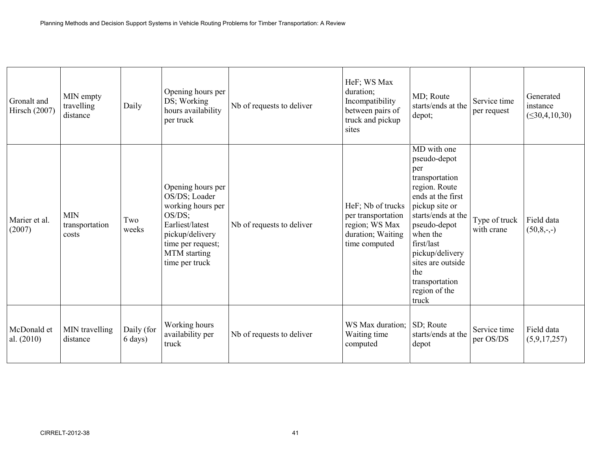| Gronalt and<br>Hirsch (2007) | MIN empty<br>travelling<br>distance   | Daily                 | Opening hours per<br>DS; Working<br>hours availability<br>per truck                                                                                            | Nb of requests to deliver | HeF; WS Max<br>duration;<br>Incompatibility<br>between pairs of<br>truck and pickup<br>sites    | MD; Route<br>starts/ends at the<br>depot;                                                                                                                                                                                                                               | Service time<br>per request | Generated<br>instance<br>$( \leq 30, 4, 10, 30)$ |
|------------------------------|---------------------------------------|-----------------------|----------------------------------------------------------------------------------------------------------------------------------------------------------------|---------------------------|-------------------------------------------------------------------------------------------------|-------------------------------------------------------------------------------------------------------------------------------------------------------------------------------------------------------------------------------------------------------------------------|-----------------------------|--------------------------------------------------|
| Marier et al.<br>(2007)      | <b>MIN</b><br>transportation<br>costs | Two<br>weeks          | Opening hours per<br>OS/DS; Loader<br>working hours per<br>OS/DS;<br>Earliest/latest<br>pickup/delivery<br>time per request;<br>MTM starting<br>time per truck | Nb of requests to deliver | HeF; Nb of trucks<br>per transportation<br>region; WS Max<br>duration; Waiting<br>time computed | MD with one<br>pseudo-depot<br>per<br>transportation<br>region. Route<br>ends at the first<br>pickup site or<br>starts/ends at the<br>pseudo-depot<br>when the<br>first/last<br>pickup/delivery<br>sites are outside<br>the<br>transportation<br>region of the<br>truck | Type of truck<br>with crane | Field data<br>$(50, 8, -,-)$                     |
| McDonald et<br>al. $(2010)$  | MIN travelling<br>distance            | Daily (for<br>6 days) | Working hours<br>availability per<br>truck                                                                                                                     | Nb of requests to deliver | WS Max duration;<br>Waiting time<br>computed                                                    | SD; Route<br>starts/ends at the<br>depot                                                                                                                                                                                                                                | Service time<br>per OS/DS   | Field data<br>(5,9,17,257)                       |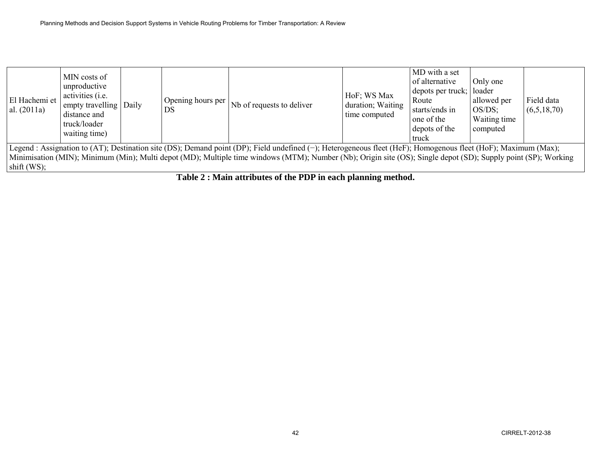| El Hachemi et<br>al. $(2011a)$                                                                                                                                                                                                                                                                                                   | MIN costs of<br>unproductive<br>activities ( <i>i.e.</i><br>empty travelling<br>distance and<br>truck/loader<br>waiting time) | Daily | Opening hours per<br>DS | No of requests to deliver | HoF; WS Max<br>duration; Waiting<br>time computed | MD with a set<br>of alternative<br>depots per truck;   loader<br>Route<br>starts/ends in<br>one of the<br>depots of the<br>truck | Only one<br>allowed per<br>$OS/DS$ ;<br>Waiting time<br>computed | Field data<br>(6,5,18,70) |  |  |
|----------------------------------------------------------------------------------------------------------------------------------------------------------------------------------------------------------------------------------------------------------------------------------------------------------------------------------|-------------------------------------------------------------------------------------------------------------------------------|-------|-------------------------|---------------------------|---------------------------------------------------|----------------------------------------------------------------------------------------------------------------------------------|------------------------------------------------------------------|---------------------------|--|--|
| Legend : Assignation to (AT); Destination site (DS); Demand point (DP); Field undefined (-); Heterogeneous fleet (HeF); Homogenous fleet (HoF); Maximum (Max);<br>Minimisation (MIN); Minimum (Min); Multi depot (MD); Multiple time windows (MTM); Number (Nb); Origin site (OS); Single depot (SD); Supply point (SP); Working |                                                                                                                               |       |                         |                           |                                                   |                                                                                                                                  |                                                                  |                           |  |  |
| shift $(WS)$ ;                                                                                                                                                                                                                                                                                                                   |                                                                                                                               |       |                         |                           |                                                   |                                                                                                                                  |                                                                  |                           |  |  |

<span id="page-43-0"></span>**Table 2 : Main attributes of the PDP in each planning method.**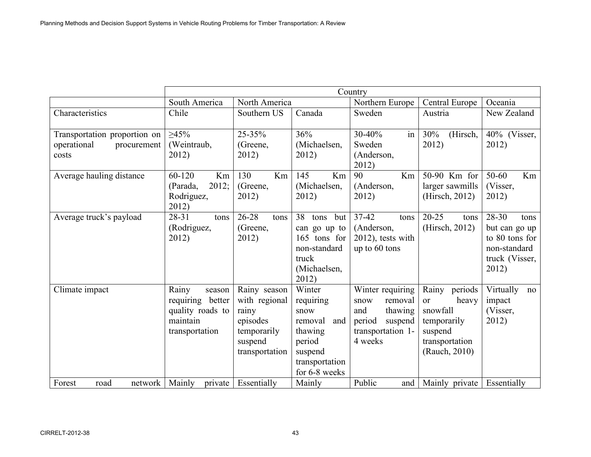|                              |                   | Country           |                                 |                     |                    |                         |  |  |  |  |  |  |
|------------------------------|-------------------|-------------------|---------------------------------|---------------------|--------------------|-------------------------|--|--|--|--|--|--|
|                              | South America     | North America     |                                 | Northern Europe     | Central Europe     | Oceania                 |  |  |  |  |  |  |
| Characteristics              | Chile             | Southern US       | Canada                          | Sweden              | Austria            | New Zealand             |  |  |  |  |  |  |
|                              |                   |                   |                                 |                     |                    |                         |  |  |  |  |  |  |
| Transportation proportion on | $\geq 45\%$       | 25-35%            | 36%                             | in<br>30-40%        | 30%<br>(Hirsch,    | 40% (Visser,            |  |  |  |  |  |  |
| operational<br>procurement   | (Weintraub,       | (Greene,          | (Michaelsen,                    | Sweden              | 2012)              | 2012)                   |  |  |  |  |  |  |
| costs                        | 2012)             | 2012)             | 2012)                           | (Anderson,<br>2012) |                    |                         |  |  |  |  |  |  |
| Average hauling distance     | 60-120<br>Km      | 130<br>Km         | 145<br>Km                       | 90<br>Km            | 50-90 Km for       | $50 - 60$<br>Km         |  |  |  |  |  |  |
|                              | 2012;<br>(Parada, | (Greene,          | (Michaelsen,                    | (Anderson,          | larger sawmills    | (Visser,                |  |  |  |  |  |  |
|                              | Rodriguez,        | 2012)             | 2012)                           | 2012)               | (Hirsch, 2012)     | 2012)                   |  |  |  |  |  |  |
|                              | 2012)             |                   |                                 |                     |                    |                         |  |  |  |  |  |  |
| Average truck's payload      | 28-31<br>tons     | $26 - 28$<br>tons | 38<br>but<br>tons               | 37-42<br>tons       | $20 - 25$<br>tons  | 28-30<br>tons           |  |  |  |  |  |  |
|                              | (Rodriguez,       | (Greene,          | can go up to                    | (Anderson,          | (Hirsch, 2012)     | but can go up           |  |  |  |  |  |  |
|                              | 2012)             | 2012)             | 165 tons for                    | 2012), tests with   |                    | to 80 tons for          |  |  |  |  |  |  |
|                              |                   |                   | non-standard<br>truck           | up to 60 tons       |                    | non-standard            |  |  |  |  |  |  |
|                              |                   |                   | (Michaelsen,                    |                     |                    | truck (Visser,<br>2012) |  |  |  |  |  |  |
|                              |                   |                   | 2012)                           |                     |                    |                         |  |  |  |  |  |  |
| Climate impact               | Rainy<br>season   | Rainy season      | Winter                          | Winter requiring    | Rainy periods      | Virtually<br>no         |  |  |  |  |  |  |
|                              | requiring better  | with regional     | requiring                       | removal<br>snow     | heavy<br><b>or</b> | impact                  |  |  |  |  |  |  |
|                              | quality roads to  | rainy             | snow                            | and<br>thawing      | snowfall           | (Visser,                |  |  |  |  |  |  |
|                              | maintain          | episodes          | removal<br>and                  | period<br>suspend   | temporarily        | 2012)                   |  |  |  |  |  |  |
|                              | transportation    | temporarily       | thawing                         | transportation 1-   | suspend            |                         |  |  |  |  |  |  |
|                              |                   | suspend           | period                          | 4 weeks             | transportation     |                         |  |  |  |  |  |  |
|                              |                   | transportation    | suspend                         |                     | (Rauch, 2010)      |                         |  |  |  |  |  |  |
|                              |                   |                   | transportation<br>for 6-8 weeks |                     |                    |                         |  |  |  |  |  |  |
| Forest<br>network<br>road    | Mainly<br>private | Essentially       | Mainly                          | Public<br>and       | Mainly private     | Essentially             |  |  |  |  |  |  |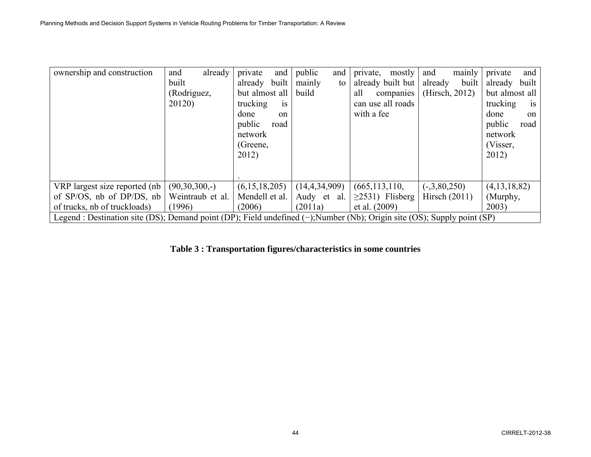| ownership and construction                                                                                                  | and             | already          | private        | and       | public           | and  | private,        | mostly                | and             | mainly | private        | and   |
|-----------------------------------------------------------------------------------------------------------------------------|-----------------|------------------|----------------|-----------|------------------|------|-----------------|-----------------------|-----------------|--------|----------------|-------|
|                                                                                                                             | built           |                  | already        | built     | mainly           | to   |                 | already built but     | already         | built  | already        | built |
|                                                                                                                             | (Rodriguez,     |                  | but almost all |           | build            |      | all             | companies             | (Hirsch, 2012)  |        | but almost all |       |
|                                                                                                                             | 20120)          |                  | trucking       | <b>1S</b> |                  |      |                 | can use all roads     |                 |        | trucking       | is    |
|                                                                                                                             |                 |                  | done           | $\alpha$  |                  |      | with a fee      |                       |                 |        | done           | on    |
|                                                                                                                             |                 |                  | public         | road      |                  |      |                 |                       |                 |        | public         | road  |
|                                                                                                                             |                 |                  | network        |           |                  |      |                 |                       |                 |        | network        |       |
|                                                                                                                             |                 |                  | (Greene,       |           |                  |      |                 |                       |                 |        | (Visser,       |       |
|                                                                                                                             |                 |                  | 2012)          |           |                  |      |                 |                       |                 |        | 2012)          |       |
|                                                                                                                             |                 |                  |                |           |                  |      |                 |                       |                 |        |                |       |
|                                                                                                                             |                 |                  |                |           |                  |      |                 |                       |                 |        |                |       |
| VRP largest size reported (nb)                                                                                              | $(90,30,300,-)$ |                  | (6,15,18,205)  |           | (14, 4, 34, 909) |      | (665, 113, 110, |                       | $(-3,80,250)$   |        | (4,13,18,82)   |       |
| of SP/OS, nb of DP/DS, nb                                                                                                   |                 | Weintraub et al. | Mendell et al. |           | Audy et          | -al. |                 | $\geq$ 2531) Flisberg | Hirsch $(2011)$ |        | (Murphy,       |       |
| of trucks, nb of truckloads)                                                                                                | (1996)          |                  | (2006)         |           | (2011a)          |      | et al. $(2009)$ |                       |                 |        | 2003)          |       |
| Legend : Destination site (DS); Demand point (DP); Field undefined $(-)$ ; Number (Nb); Origin site (OS); Supply point (SP) |                 |                  |                |           |                  |      |                 |                       |                 |        |                |       |

# <span id="page-45-0"></span>**Table 3 : Transportation figures/characteristics in some countries**